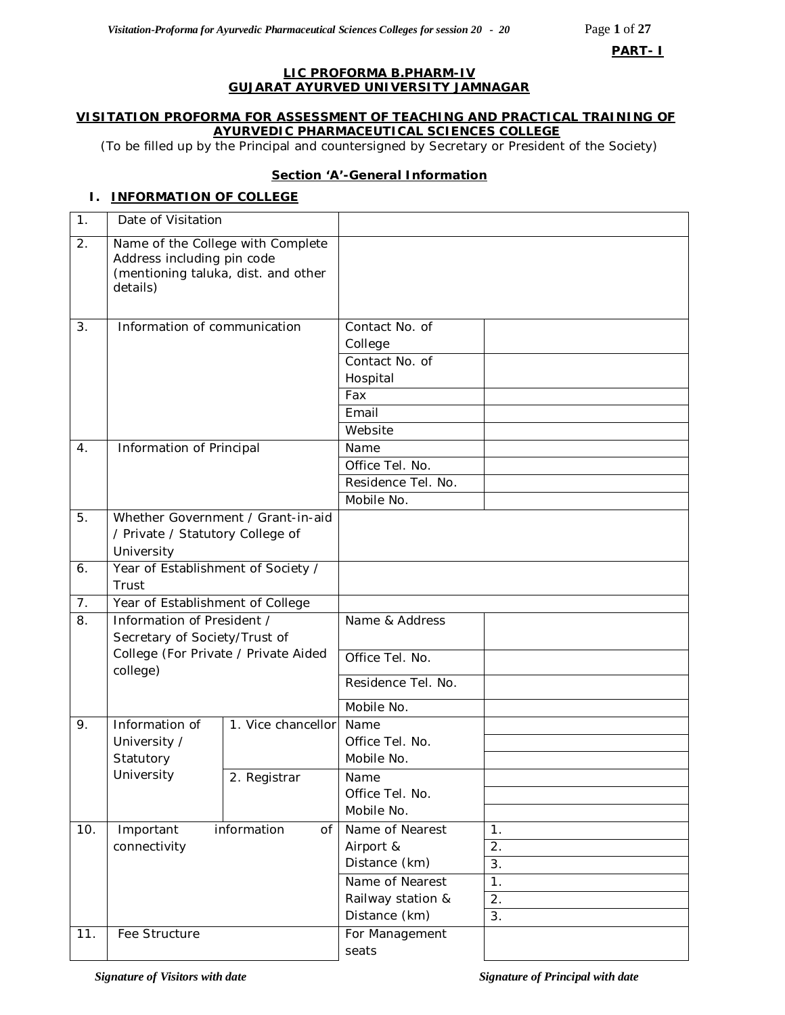**PART- I**

### **LIC PROFORMA B.PHARM-IV GUJARAT AYURVED UNIVERSITY JAMNAGAR**

### **VISITATION PROFORMA FOR ASSESSMENT OF TEACHING AND PRACTICAL TRAINING OF AYURVEDIC PHARMACEUTICAL SCIENCES COLLEGE**

*(*To be filled up by the Principal and countersigned by Secretary or President of the Society)

### **Section 'A'-General Information**

# **I. INFORMATION OF COLLEGE**

| 1.       | Date of Visitation                                                                                                 |                    |                                                                         |          |
|----------|--------------------------------------------------------------------------------------------------------------------|--------------------|-------------------------------------------------------------------------|----------|
| 2.       | Name of the College with Complete<br>Address including pin code<br>(mentioning taluka, dist. and other<br>details) |                    |                                                                         |          |
| 3.       | Information of communication                                                                                       |                    | Contact No. of<br>College<br>Contact No. of<br>Hospital<br>Fax<br>Email |          |
|          |                                                                                                                    |                    | Website                                                                 |          |
| 4.       | Information of Principal                                                                                           |                    | Name<br>Office Tel. No.<br>Residence Tel. No.<br>Mobile No.             |          |
| 5.       | Whether Government / Grant-in-aid<br>/ Private / Statutory College of<br>University                                |                    |                                                                         |          |
| 6.       | Year of Establishment of Society /                                                                                 |                    |                                                                         |          |
|          | Trust                                                                                                              |                    |                                                                         |          |
| 7.<br>8. | Year of Establishment of College<br>Information of President /                                                     |                    | Name & Address                                                          |          |
|          | Secretary of Society/Trust of                                                                                      |                    |                                                                         |          |
|          | College (For Private / Private Aided<br>college)                                                                   |                    | Office Tel. No.                                                         |          |
|          |                                                                                                                    |                    | Residence Tel. No.                                                      |          |
|          |                                                                                                                    |                    | Mobile No.                                                              |          |
| 9.       | Information of<br>University /<br>Statutory                                                                        | 1. Vice chancellor | Name<br>Office Tel. No.<br>Mobile No.                                   |          |
|          | University                                                                                                         | 2. Registrar       | Name<br>Office Tel. No.<br>Mobile No.                                   |          |
| 10.      | Important                                                                                                          | information<br>of  | Name of Nearest                                                         | 1.       |
|          | connectivity                                                                                                       |                    | Airport &                                                               | 2.       |
|          |                                                                                                                    |                    | Distance (km)<br>Name of Nearest                                        | 3.<br>1. |
|          |                                                                                                                    |                    | Railway station &                                                       | 2.       |
|          |                                                                                                                    |                    | Distance (km)                                                           | 3.       |
| 11.      | Fee Structure                                                                                                      |                    | For Management<br>seats                                                 |          |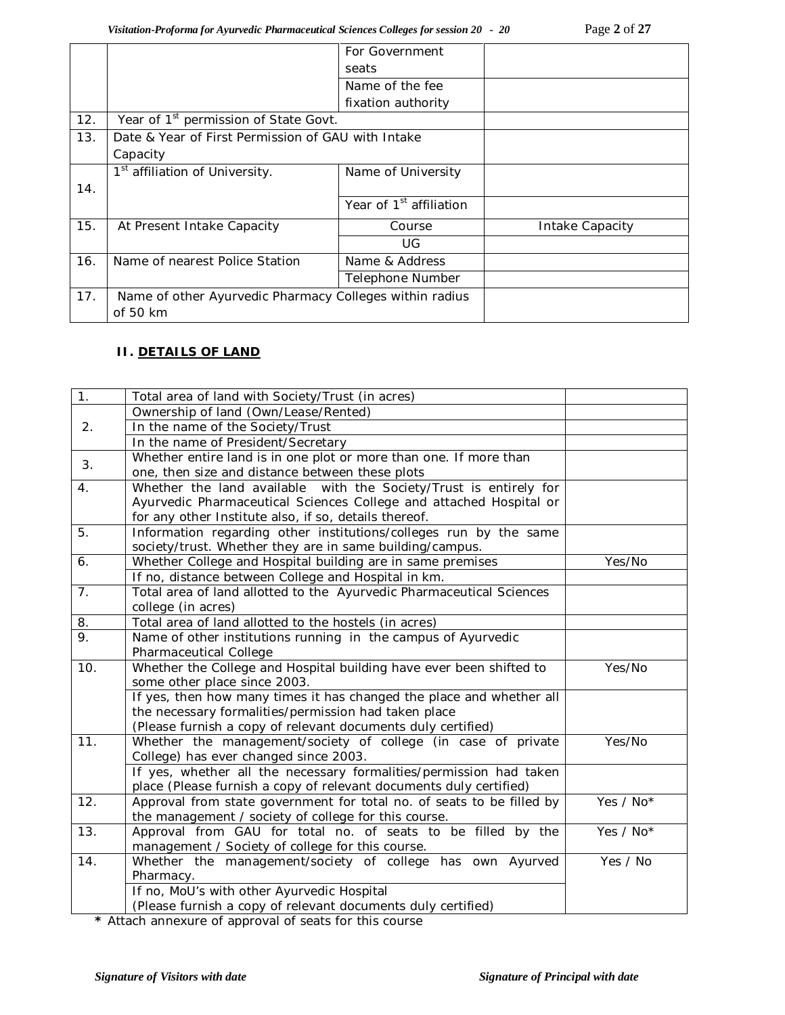|     |                                                         | For Government                      |                 |
|-----|---------------------------------------------------------|-------------------------------------|-----------------|
|     |                                                         | seats                               |                 |
|     |                                                         | Name of the fee                     |                 |
|     |                                                         | fixation authority                  |                 |
| 12. | Year of 1 <sup>st</sup> permission of State Govt.       |                                     |                 |
| 13. | Date & Year of First Permission of GAU with Intake      |                                     |                 |
|     | Capacity                                                |                                     |                 |
|     | 1 <sup>st</sup> affiliation of University.              | Name of University                  |                 |
| 14. |                                                         |                                     |                 |
|     |                                                         | Year of 1 <sup>st</sup> affiliation |                 |
| 15. | At Present Intake Capacity                              | Course                              | Intake Capacity |
|     |                                                         | UG                                  |                 |
| 16. | Name of nearest Police Station                          | Name & Address                      |                 |
|     |                                                         | Telephone Number                    |                 |
| 17. | Name of other Ayurvedic Pharmacy Colleges within radius |                                     |                 |
|     | of 50 km                                                |                                     |                 |

### **II. DETAILS OF LAND**

| 1.  | Total area of land with Society/Trust (in acres)                      |           |
|-----|-----------------------------------------------------------------------|-----------|
|     | Ownership of land (Own/Lease/Rented)                                  |           |
| 2.  | In the name of the Society/Trust                                      |           |
|     | In the name of President/Secretary                                    |           |
|     | Whether entire land is in one plot or more than one. If more than     |           |
| 3.  | one, then size and distance between these plots                       |           |
| 4.  | Whether the land available with the Society/Trust is entirely for     |           |
|     | Ayurvedic Pharmaceutical Sciences College and attached Hospital or    |           |
|     | for any other Institute also, if so, details thereof.                 |           |
| 5.  | Information regarding other institutions/colleges run by the same     |           |
|     | society/trust. Whether they are in same building/campus.              |           |
| 6.  | Whether College and Hospital building are in same premises            | Yes/No    |
|     | If no, distance between College and Hospital in km.                   |           |
| 7.  | Total area of land allotted to the Ayurvedic Pharmaceutical Sciences  |           |
|     | college (in acres)                                                    |           |
| 8.  | Total area of land allotted to the hostels (in acres)                 |           |
| 9.  | Name of other institutions running in the campus of Ayurvedic         |           |
|     | Pharmaceutical College                                                |           |
| 10. | Whether the College and Hospital building have ever been shifted to   | Yes/No    |
|     | some other place since 2003.                                          |           |
|     | If yes, then how many times it has changed the place and whether all  |           |
|     | the necessary formalities/permission had taken place                  |           |
|     | (Please furnish a copy of relevant documents duly certified)          |           |
| 11. | Whether the management/society of college (in case of private         | Yes/No    |
|     | College) has ever changed since 2003.                                 |           |
|     | If yes, whether all the necessary formalities/permission had taken    |           |
|     | place (Please furnish a copy of relevant documents duly certified)    |           |
| 12. | Approval from state government for total no. of seats to be filled by | Yes / No* |
|     | the management / society of college for this course.                  |           |
| 13. | Approval from GAU for total no. of seats to be filled by the          | Yes / No* |
|     | management / Society of college for this course.                      |           |
| 14. | Whether the management/society of college has own Ayurved             | Yes / No  |
|     | Pharmacy.                                                             |           |
|     | If no, MoU's with other Ayurvedic Hospital                            |           |
|     | (Please furnish a copy of relevant documents duly certified)          |           |

**\*** Attach annexure of approval of seats for this course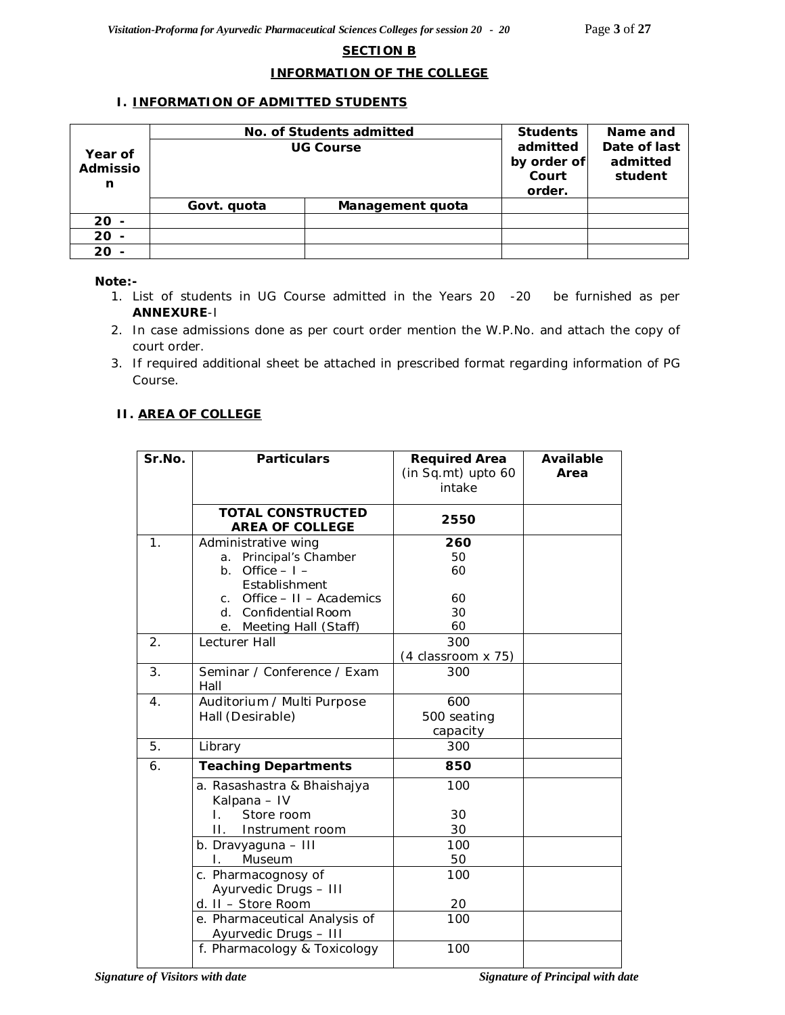### **SECTION B**

### **INFORMATION OF THE COLLEGE**

### **I. INFORMATION OF ADMITTED STUDENTS**

|          | No. of Students admitted | <b>Students</b>  | Name and    |              |
|----------|--------------------------|------------------|-------------|--------------|
| Year of  |                          | <b>UG Course</b> | admitted    | Date of last |
| Admissio |                          |                  | by order of | admitted     |
|          |                          |                  | Court       | student      |
| n        |                          |                  | order.      |              |
|          | Govt. quota              | Management quota |             |              |
| $20 -$   |                          |                  |             |              |
| $20 -$   |                          |                  |             |              |
| $20 -$   |                          |                  |             |              |

#### *Note:-*

- *1. List of students in UG Course admitted in the Years 20 -20 be furnished as per ANNEXURE-I*
- *2. In case admissions done as per court order mention the W.P.No. and attach the copy of court order.*
- *3. If required additional sheet be attached in prescribed format regarding information of PG Course.*

### **II. AREA OF COLLEGE**

| Sr.No. | <b>Particulars</b>                          | <b>Required Area</b><br>(in Sq.mt) upto 60<br>intake | <b>Available</b><br>Area |
|--------|---------------------------------------------|------------------------------------------------------|--------------------------|
|        | <b>TOTAL CONSTRUCTED</b>                    | 2550                                                 |                          |
|        | <b>AREA OF COLLEGE</b>                      |                                                      |                          |
| 1.     | Administrative wing                         | 260                                                  |                          |
|        | a. Principal's Chamber<br>b. Office $-1$ -  | 50<br>60                                             |                          |
|        | Establishment                               |                                                      |                          |
|        | c. Office $-11 -$ Academics                 | 60                                                   |                          |
|        | d. Confidential Room                        | 30                                                   |                          |
|        | e. Meeting Hall (Staff)                     | 60                                                   |                          |
| 2.     | Lecturer Hall                               | 300                                                  |                          |
|        |                                             | (4 classroom x 75)                                   |                          |
| 3.     | Seminar / Conference / Exam                 | 300                                                  |                          |
|        | Hall                                        |                                                      |                          |
| 4.     | Auditorium / Multi Purpose                  | 600                                                  |                          |
|        | Hall (Desirable)                            | 500 seating                                          |                          |
|        |                                             | capacity                                             |                          |
| 5.     | Library                                     | 300                                                  |                          |
| 6.     | <b>Teaching Departments</b>                 | 850                                                  |                          |
|        | a. Rasashastra & Bhaishajya<br>Kalpana - IV | 100                                                  |                          |
|        | Store room<br>$\mathbf{L}$                  | 30                                                   |                          |
|        | $\Pi$ .<br>Instrument room                  | 30                                                   |                          |
|        | b. Dravyaguna - III                         | 100                                                  |                          |
|        | Museum<br>L.                                | 50                                                   |                          |
|        | c. Pharmacognosy of                         | 100                                                  |                          |
|        | Ayurvedic Drugs - III                       |                                                      |                          |
|        | d. II - Store Room                          | 20                                                   |                          |
|        | e. Pharmaceutical Analysis of               | 100                                                  |                          |
|        | Ayurvedic Drugs - III                       |                                                      |                          |
|        | f. Pharmacology & Toxicology                | 100                                                  |                          |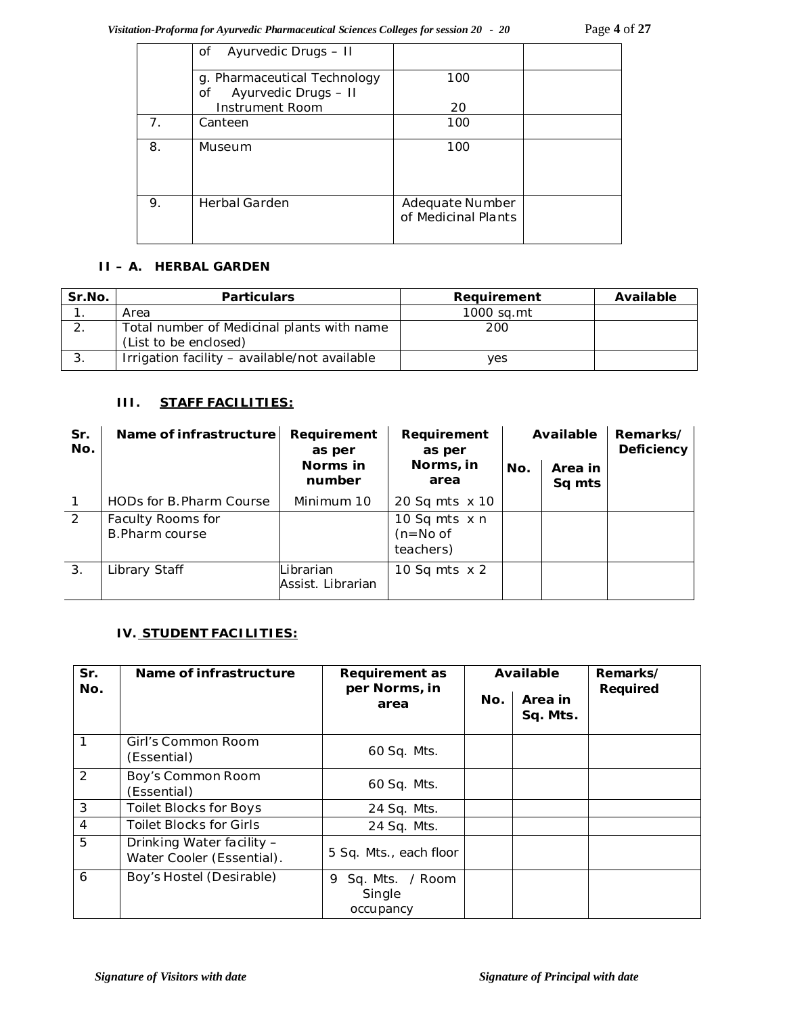|                | Ayurvedic Drugs - II<br>Οf                                 |                                        |  |
|----------------|------------------------------------------------------------|----------------------------------------|--|
|                | g. Pharmaceutical Technology<br>Ayurvedic Drugs - II<br>οf | 100                                    |  |
|                | Instrument Room                                            | 20                                     |  |
| 7 <sub>1</sub> | Canteen                                                    | 100                                    |  |
| 8.             | Museum                                                     | 100                                    |  |
| 9.             | <b>Herbal Garden</b>                                       | Adequate Number<br>of Medicinal Plants |  |

### **II – A. HERBAL GARDEN**

| Sr.No. | <b>Particulars</b>                                                  | Requirement | Available |
|--------|---------------------------------------------------------------------|-------------|-----------|
|        | Area                                                                | 1000 sa.mt  |           |
|        | Total number of Medicinal plants with name<br>(List to be enclosed) | 200         |           |
|        | Irrigation facility - available/not available                       | ves         |           |

# **III. STAFF FACILITIES:**

| Sr.<br>No.     | Name of infrastructure               | Requirement<br>as per          | Requirement<br>as per                           | Available |                   | Remarks/<br>Deficiency |
|----------------|--------------------------------------|--------------------------------|-------------------------------------------------|-----------|-------------------|------------------------|
|                |                                      | Norms in<br>number             | Norms, in<br>area                               | No.       | Area in<br>Sq mts |                        |
| $\mathbf{1}$   | HODs for B. Pharm Course             | Minimum 10                     | 20 Sq mts x 10                                  |           |                   |                        |
| $\overline{2}$ | Faculty Rooms for<br>B. Pharm course |                                | 10 Sq mts $\times$ n<br>$(n=No of$<br>teachers) |           |                   |                        |
| 3.             | Library Staff                        | Librarian<br>Assist. Librarian | 10 Sq mts $\times$ 2                            |           |                   |                        |

### **IV. STUDENT FACILITIES:**

| Sr.            | Name of infrastructure                                 | Requirement as                              |     | Available           | Remarks/ |
|----------------|--------------------------------------------------------|---------------------------------------------|-----|---------------------|----------|
| No.            | per Norms, in<br>area                                  |                                             | No. | Area in<br>Sq. Mts. | Required |
| 1              | Girl's Common Room<br>(Essential)                      | 60 Sq. Mts.                                 |     |                     |          |
| $\mathcal{P}$  | Boy's Common Room<br>(Essential)                       | 60 Sq. Mts.                                 |     |                     |          |
| 3              | <b>Toilet Blocks for Boys</b>                          | 24 Sq. Mts.                                 |     |                     |          |
| $\overline{4}$ | <b>Toilet Blocks for Girls</b>                         | 24 Sq. Mts.                                 |     |                     |          |
| 5              | Drinking Water facility -<br>Water Cooler (Essential). | 5 Sq. Mts., each floor                      |     |                     |          |
| 6              | Boy's Hostel (Desirable)                               | Sq. Mts. / Room<br>9<br>Single<br>occupancy |     |                     |          |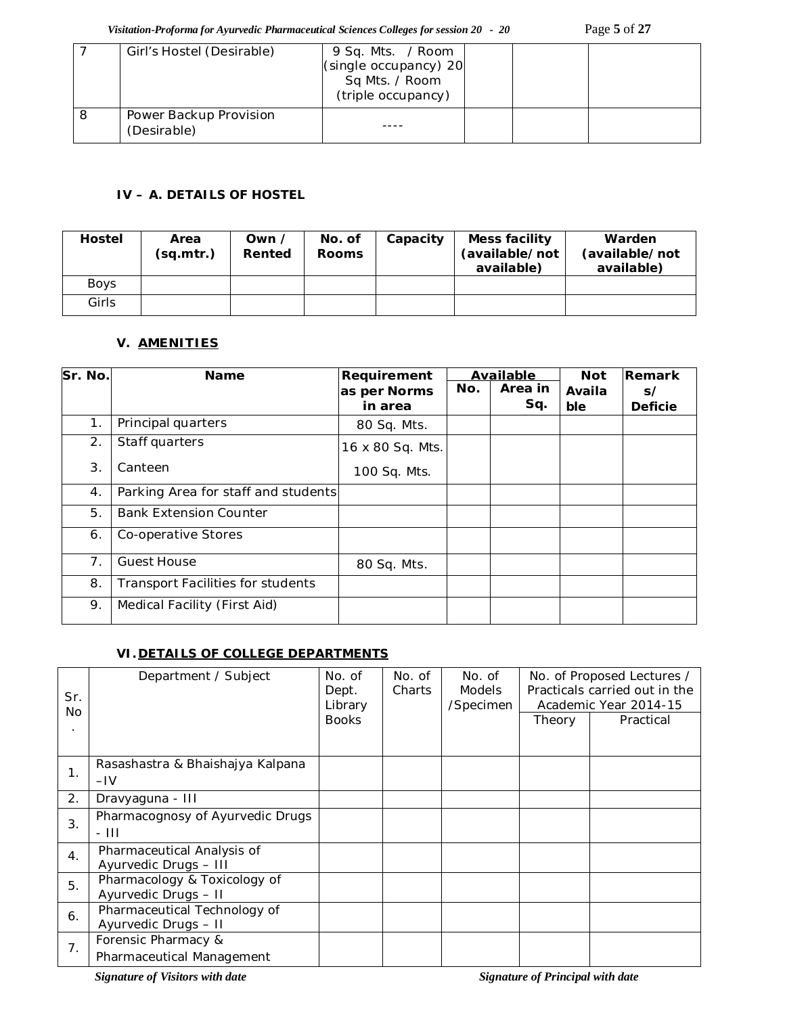*Visitation-Proforma for Ayurvedic Pharmaceutical Sciences Colleges for session 20 - 20* Page **5** of **27**

| Girl's Hostel (Desirable)             | 9 Sq. Mts. / Room<br>(single occupancy) 20<br>Sq Mts. / Room<br>(triple occupancy) |  |  |
|---------------------------------------|------------------------------------------------------------------------------------|--|--|
| Power Backup Provision<br>(Desirable) |                                                                                    |  |  |

# **IV – A. DETAILS OF HOSTEL**

| <b>Hostel</b> | Area<br>(sq.mtr.) | Own /<br>Rented | No. of<br><b>Rooms</b> | Capacity | Mess facility<br>(available/not<br>available) | Warden<br>(available/not<br>available) |
|---------------|-------------------|-----------------|------------------------|----------|-----------------------------------------------|----------------------------------------|
| Boys          |                   |                 |                        |          |                                               |                                        |
| Girls         |                   |                 |                        |          |                                               |                                        |

# **V. AMENITIES**

| Sr. No. | <b>Name</b>                              | Requirement      | Available |         | <b>Not</b> | Remark         |
|---------|------------------------------------------|------------------|-----------|---------|------------|----------------|
|         |                                          | as per Norms     | No.       | Area in | Availa     | s/             |
|         |                                          | in area          |           | Sq.     | ble        | <b>Deficie</b> |
| 1.      | Principal quarters                       | 80 Sq. Mts.      |           |         |            |                |
| 2.      | Staff quarters                           | 16 x 80 Sq. Mts. |           |         |            |                |
| 3.      | Canteen                                  | 100 Sq. Mts.     |           |         |            |                |
| 4.      | Parking Area for staff and students      |                  |           |         |            |                |
| 5.      | <b>Bank Extension Counter</b>            |                  |           |         |            |                |
| 6.      | Co-operative Stores                      |                  |           |         |            |                |
| 7.      | <b>Guest House</b>                       | 80 Sq. Mts.      |           |         |            |                |
| 8.      | <b>Transport Facilities for students</b> |                  |           |         |            |                |
| 9.      | Medical Facility (First Aid)             |                  |           |         |            |                |

### **VI.DETAILS OF COLLEGE DEPARTMENTS**

| Sr.<br><b>No</b> | Department / Subject                                 | No. of<br>Dept.<br>Library | No. of<br>Charts | No. of<br><b>Models</b><br>/Specimen |        | No. of Proposed Lectures /<br>Practicals carried out in the<br>Academic Year 2014-15 |
|------------------|------------------------------------------------------|----------------------------|------------------|--------------------------------------|--------|--------------------------------------------------------------------------------------|
|                  |                                                      | <b>Books</b>               |                  |                                      | Theory | Practical                                                                            |
| 1.               | Rasashastra & Bhaishajya Kalpana                     |                            |                  |                                      |        |                                                                                      |
|                  | $-IV$                                                |                            |                  |                                      |        |                                                                                      |
| 2.               | Dravyaguna - III                                     |                            |                  |                                      |        |                                                                                      |
| 3.               | Pharmacognosy of Ayurvedic Drugs<br>- 111            |                            |                  |                                      |        |                                                                                      |
| $\mathbf{4}$ .   | Pharmaceutical Analysis of<br>Ayurvedic Drugs - III  |                            |                  |                                      |        |                                                                                      |
| 5.               | Pharmacology & Toxicology of<br>Ayurvedic Drugs - II |                            |                  |                                      |        |                                                                                      |
| 6.               | Pharmaceutical Technology of<br>Ayurvedic Drugs - II |                            |                  |                                      |        |                                                                                      |
| 7.               | Forensic Pharmacy &                                  |                            |                  |                                      |        |                                                                                      |
|                  | Pharmaceutical Management                            |                            |                  |                                      |        |                                                                                      |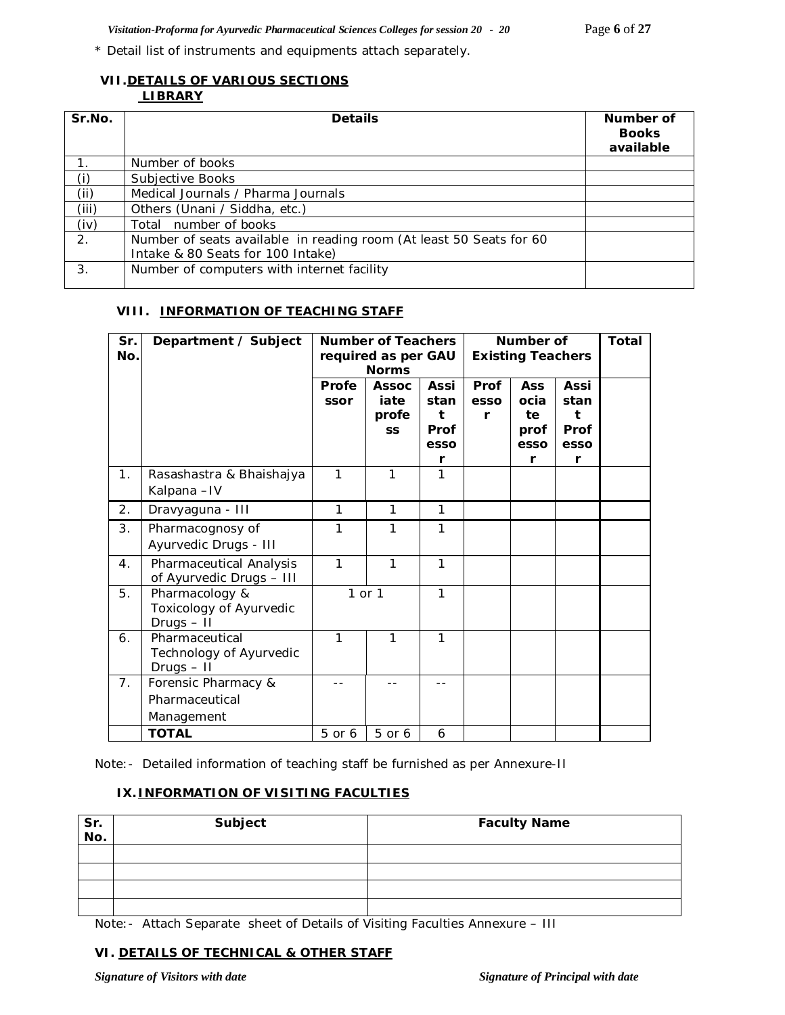\* Detail list of instruments and equipments attach separately.

# **VII.DETAILS OF VARIOUS SECTIONS**

# **LIBRARY**

| Sr.No. | <b>Details</b>                                                                                           | Number of<br><b>Books</b><br>available |
|--------|----------------------------------------------------------------------------------------------------------|----------------------------------------|
|        | Number of books                                                                                          |                                        |
| (i)    | Subjective Books                                                                                         |                                        |
| (ii)   | Medical Journals / Pharma Journals                                                                       |                                        |
| (iii)  | Others (Unani / Siddha, etc.)                                                                            |                                        |
| (iv)   | Total number of books                                                                                    |                                        |
| 2.     | Number of seats available in reading room (At least 50 Seats for 60<br>Intake & 80 Seats for 100 Intake) |                                        |
| 3.     | Number of computers with internet facility                                                               |                                        |

### **VIII. INFORMATION OF TEACHING STAFF**

| Sr.<br>No. | Department / Subject                                      | <b>Number of Teachers</b><br>required as per GAU<br><b>Norms</b> |                                            |                                   | Number of<br><b>Existing Teachers</b> |                                          |                                   | Total |
|------------|-----------------------------------------------------------|------------------------------------------------------------------|--------------------------------------------|-----------------------------------|---------------------------------------|------------------------------------------|-----------------------------------|-------|
|            |                                                           | Profe<br>ssor                                                    | <b>Assoc</b><br>iate<br>profe<br><b>SS</b> | Assi<br>stan<br>t<br>Prof<br>esso | Prof<br>esso<br>r                     | <b>Ass</b><br>ocia<br>te<br>prof<br>esso | Assi<br>stan<br>t<br>Prof<br>esso |       |
|            |                                                           | 1                                                                | 1                                          | r<br>1                            |                                       | r                                        | r                                 |       |
| 1.         | Rasashastra & Bhaishajya<br>Kalpana-IV                    |                                                                  |                                            |                                   |                                       |                                          |                                   |       |
| 2.         | Dravyaguna - III                                          | $\mathbf{1}$                                                     | 1                                          | 1                                 |                                       |                                          |                                   |       |
| 3.         | Pharmacognosy of<br>Ayurvedic Drugs - III                 | 1                                                                | 1                                          | 1                                 |                                       |                                          |                                   |       |
| 4.         | Pharmaceutical Analysis<br>of Ayurvedic Drugs - III       | $\mathbf{1}$                                                     | 1                                          | 1                                 |                                       |                                          |                                   |       |
| 5.         | Pharmacology &<br>Toxicology of Ayurvedic<br>$Drugs - II$ |                                                                  | 1 or 1                                     | $\mathbf{1}$                      |                                       |                                          |                                   |       |
| 6.         | Pharmaceutical<br>Technology of Ayurvedic<br>$Drugs - II$ | 1                                                                | 1                                          | 1                                 |                                       |                                          |                                   |       |
| 7.         | Forensic Pharmacy &                                       |                                                                  |                                            |                                   |                                       |                                          |                                   |       |
|            | Pharmaceutical                                            |                                                                  |                                            |                                   |                                       |                                          |                                   |       |
|            | Management                                                |                                                                  |                                            |                                   |                                       |                                          |                                   |       |
|            | <b>TOTAL</b>                                              | 5 or 6                                                           | 5 or 6                                     | 6                                 |                                       |                                          |                                   |       |

Note:- Detailed information of teaching staff be furnished as per Annexure-II

### **IX.INFORMATION OF VISITING FACULTIES**

| Sr.<br>No. | Subject | <b>Faculty Name</b> |
|------------|---------|---------------------|
|            |         |                     |
|            |         |                     |
|            |         |                     |
|            |         |                     |

Note:- Attach Separate sheet of Details of Visiting Faculties Annexure – III

#### **VI. DETAILS OF TECHNICAL & OTHER STAFF**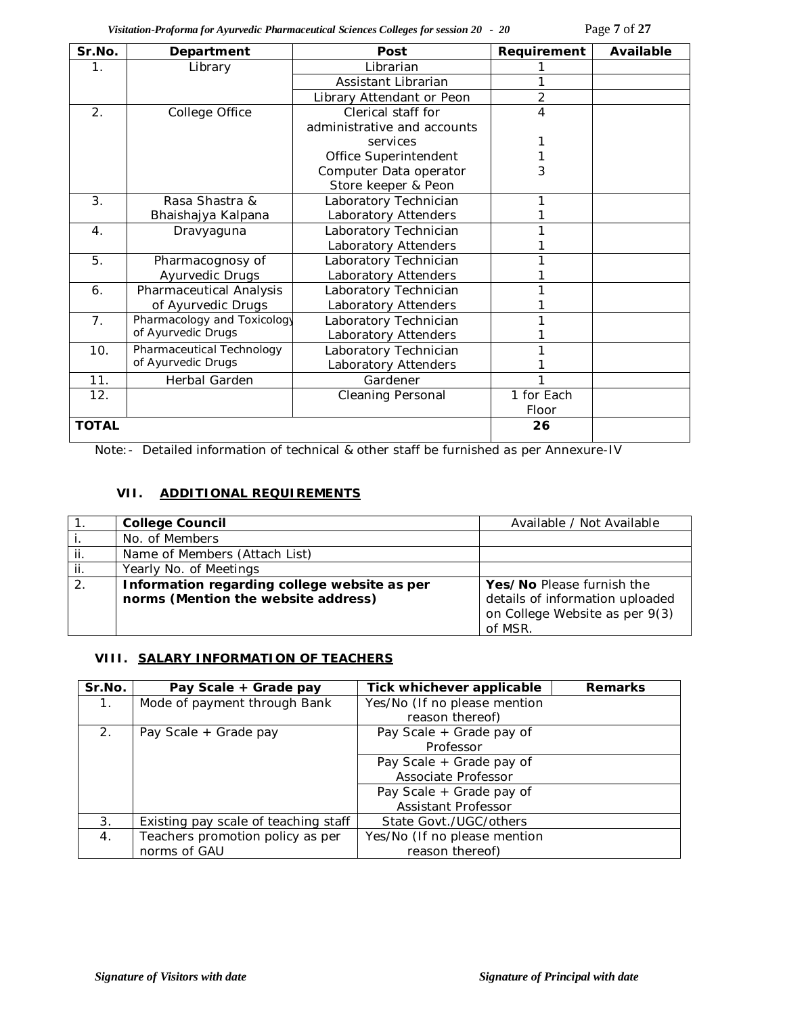*Visitation-Proforma for Ayurvedic Pharmaceutical Sciences Colleges for session 20 - 20* Page **7** of **27**

| Sr.No.                | Department                  | Post                        | Requirement    | Available |
|-----------------------|-----------------------------|-----------------------------|----------------|-----------|
| 1.                    | Library                     | Librarian                   |                |           |
|                       |                             | Assistant Librarian         |                |           |
|                       |                             | Library Attendant or Peon   | $\overline{2}$ |           |
| $\mathcal{P}_{\cdot}$ | College Office              | Clerical staff for          | 4              |           |
|                       |                             | administrative and accounts |                |           |
|                       |                             | services                    |                |           |
|                       |                             | Office Superintendent       |                |           |
|                       |                             | Computer Data operator      | 3              |           |
|                       |                             | Store keeper & Peon         |                |           |
| 3.                    | Rasa Shastra &              | Laboratory Technician       |                |           |
|                       | Bhaishajya Kalpana          | Laboratory Attenders        |                |           |
| $\overline{4}$ .      | Dravyaguna                  | Laboratory Technician       |                |           |
|                       |                             | Laboratory Attenders        |                |           |
| 5.                    | Pharmacognosy of            | Laboratory Technician       |                |           |
|                       | Ayurvedic Drugs             | Laboratory Attenders        |                |           |
| 6.                    | Pharmaceutical Analysis     | Laboratory Technician       |                |           |
|                       | of Ayurvedic Drugs          | Laboratory Attenders        |                |           |
| 7 <sub>1</sub>        | Pharmacology and Toxicology | Laboratory Technician       |                |           |
|                       | of Ayurvedic Drugs          | Laboratory Attenders        |                |           |
| 10.                   | Pharmaceutical Technology   | Laboratory Technician       |                |           |
|                       | of Ayurvedic Drugs          | Laboratory Attenders        |                |           |
| 11.                   | Herbal Garden               | Gardener                    |                |           |
| 12.                   |                             | <b>Cleaning Personal</b>    | 1 for Each     |           |
|                       |                             |                             | Floor          |           |
| <b>TOTAL</b>          |                             |                             | 26             |           |

Note:- Detailed information of technical & other staff be furnished as per Annexure-IV

# **VII. ADDITIONAL REQUIREMENTS**

|                  | <b>College Council</b>                                                              | Available / Not Available                                                                                 |
|------------------|-------------------------------------------------------------------------------------|-----------------------------------------------------------------------------------------------------------|
|                  | No. of Members                                                                      |                                                                                                           |
| ii.              | Name of Members (Attach List)                                                       |                                                                                                           |
| ji.              | Yearly No. of Meetings                                                              |                                                                                                           |
| $\overline{2}$ . | Information regarding college website as per<br>norms (Mention the website address) | Yes/No Please furnish the<br>details of information uploaded<br>on College Website as per 9(3)<br>of MSR. |

### **VIII. SALARY INFORMATION OF TEACHERS**

| Sr.No.      | Pay Scale + Grade pay                             | Tick whichever applicable    | <b>Remarks</b> |
|-------------|---------------------------------------------------|------------------------------|----------------|
| $1_{\cdot}$ | Mode of payment through Bank                      | Yes/No (If no please mention |                |
|             |                                                   | reason thereof)              |                |
| 2.          | Pay Scale + Grade pay of<br>Pay Scale + Grade pay |                              |                |
|             | Professor                                         |                              |                |
|             | Pay Scale + Grade pay of                          |                              |                |
|             |                                                   | Associate Professor          |                |
|             |                                                   | Pay Scale + Grade pay of     |                |
|             |                                                   | Assistant Professor          |                |
| 3.          | Existing pay scale of teaching staff              | State Govt./UGC/others       |                |
| 4.          | Teachers promotion policy as per                  | Yes/No (If no please mention |                |
|             | norms of GAU                                      | reason thereof)              |                |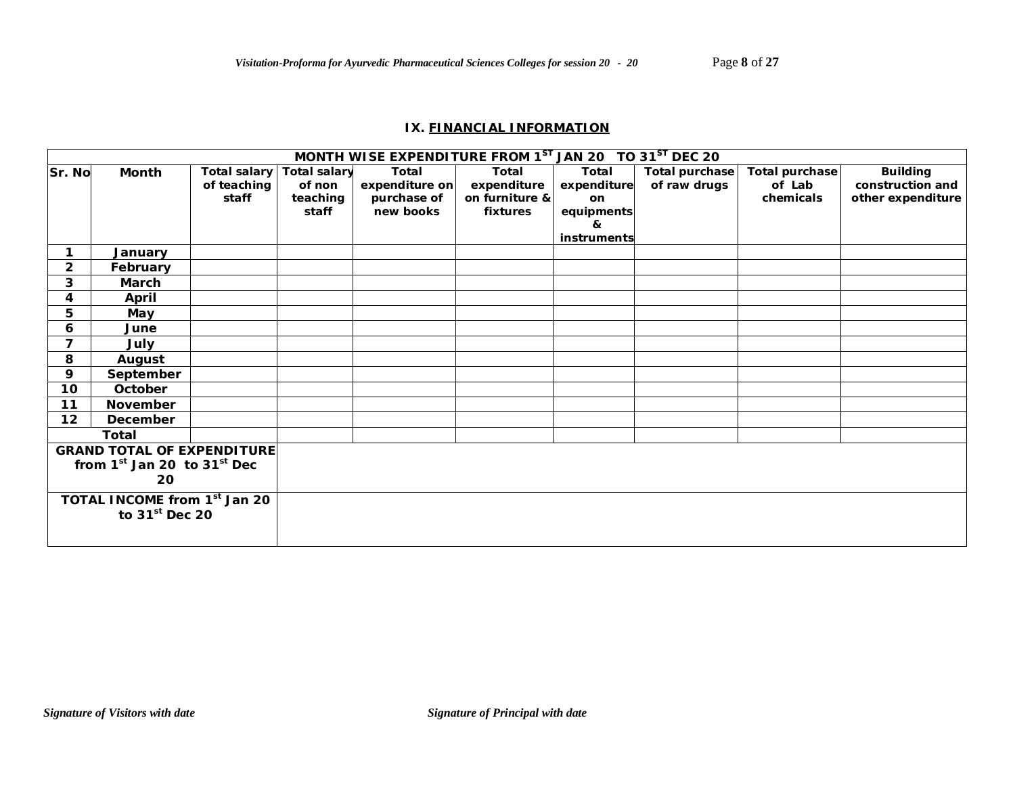### **IX. FINANCIAL INFORMATION**

|                                          |                                   |                     |                     | MONTH WISE EXPENDITURE FROM 1ST JAN 20 TO 31ST DEC 20 |                |               |                       |                |                   |
|------------------------------------------|-----------------------------------|---------------------|---------------------|-------------------------------------------------------|----------------|---------------|-----------------------|----------------|-------------------|
| Sr. No                                   | Month                             | <b>Total salary</b> | <b>Total salary</b> | Total                                                 | <b>Total</b>   | Total         | <b>Total purchase</b> | Total purchase | <b>Building</b>   |
|                                          |                                   | of teaching         | of non              | expenditure on                                        | expenditure    | expenditure   | of raw drugs          | of Lab         | construction and  |
|                                          |                                   | staff               | teaching            | purchase of                                           | on furniture & | <sub>on</sub> |                       | chemicals      | other expenditure |
|                                          |                                   |                     | staff               | new books                                             | fixtures       | equipments    |                       |                |                   |
|                                          |                                   |                     |                     |                                                       |                | &             |                       |                |                   |
|                                          |                                   |                     |                     |                                                       |                | instruments   |                       |                |                   |
|                                          | January                           |                     |                     |                                                       |                |               |                       |                |                   |
| $\overline{2}$                           | February                          |                     |                     |                                                       |                |               |                       |                |                   |
| 3                                        | March                             |                     |                     |                                                       |                |               |                       |                |                   |
| 4                                        | April                             |                     |                     |                                                       |                |               |                       |                |                   |
| 5                                        | May                               |                     |                     |                                                       |                |               |                       |                |                   |
| 6                                        | June                              |                     |                     |                                                       |                |               |                       |                |                   |
| $\overline{7}$                           | July                              |                     |                     |                                                       |                |               |                       |                |                   |
| 8                                        | August                            |                     |                     |                                                       |                |               |                       |                |                   |
| 9                                        | September                         |                     |                     |                                                       |                |               |                       |                |                   |
| 10                                       | October                           |                     |                     |                                                       |                |               |                       |                |                   |
| 11                                       | November                          |                     |                     |                                                       |                |               |                       |                |                   |
| 12                                       | December                          |                     |                     |                                                       |                |               |                       |                |                   |
|                                          | <b>Total</b>                      |                     |                     |                                                       |                |               |                       |                |                   |
|                                          | <b>GRAND TOTAL OF EXPENDITURE</b> |                     |                     |                                                       |                |               |                       |                |                   |
|                                          | from $1st$ Jan 20 to $31st$ Dec   |                     |                     |                                                       |                |               |                       |                |                   |
|                                          | 20                                |                     |                     |                                                       |                |               |                       |                |                   |
| TOTAL INCOME from 1 <sup>st</sup> Jan 20 |                                   |                     |                     |                                                       |                |               |                       |                |                   |
|                                          | to $31st$ Dec 20                  |                     |                     |                                                       |                |               |                       |                |                   |
|                                          |                                   |                     |                     |                                                       |                |               |                       |                |                   |
|                                          |                                   |                     |                     |                                                       |                |               |                       |                |                   |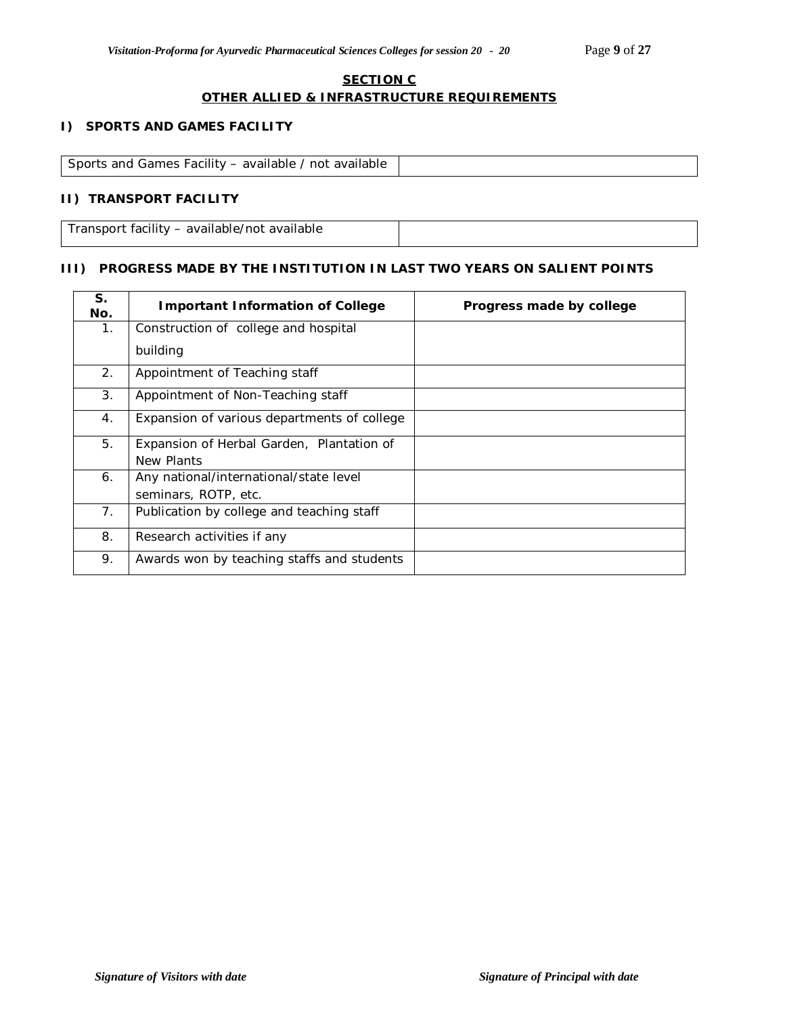### **SECTION C OTHER ALLIED & INFRASTRUCTURE REQUIREMENTS**

### **I) SPORTS AND GAMES FACILITY**

| Sports and Games Facility – available / not available |  |
|-------------------------------------------------------|--|

### **II) TRANSPORT FACILITY**

Transport facility – available/not available

### **III) PROGRESS MADE BY THE INSTITUTION IN LAST TWO YEARS ON SALIENT POINTS**

| S.<br>No. | <b>Important Information of College</b>     | Progress made by college |
|-----------|---------------------------------------------|--------------------------|
| 1.        | Construction of college and hospital        |                          |
|           | building                                    |                          |
| 2.        | Appointment of Teaching staff               |                          |
| 3.        | Appointment of Non-Teaching staff           |                          |
| 4.        | Expansion of various departments of college |                          |
| 5.        | Expansion of Herbal Garden, Plantation of   |                          |
|           | New Plants                                  |                          |
| 6.        | Any national/international/state level      |                          |
|           | seminars, ROTP, etc.                        |                          |
| 7.        | Publication by college and teaching staff   |                          |
| 8.        | Research activities if any                  |                          |
| 9.        | Awards won by teaching staffs and students  |                          |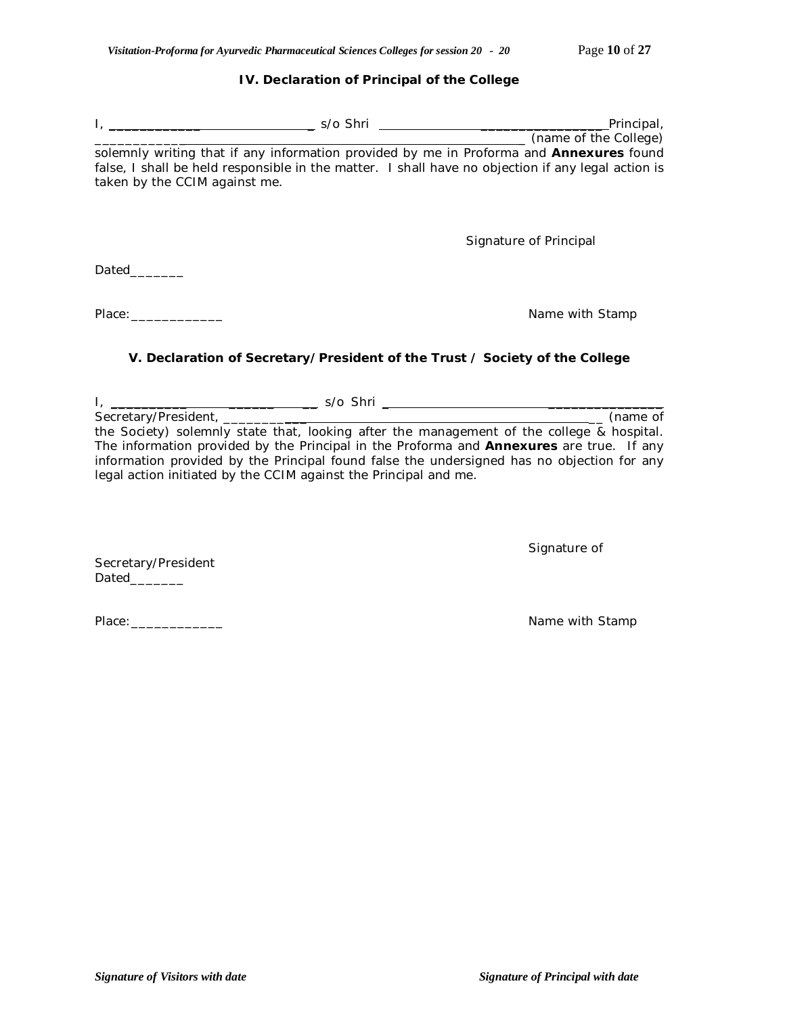### **IV. Declaration of Principal of the College**

|                                                                                                                                                                                                                                                                                                                                                                                              |                                                                             | ___ (name of the College) |
|----------------------------------------------------------------------------------------------------------------------------------------------------------------------------------------------------------------------------------------------------------------------------------------------------------------------------------------------------------------------------------------------|-----------------------------------------------------------------------------|---------------------------|
| solemnly writing that if any information provided by me in Proforma and Annexures found<br>false, I shall be held responsible in the matter. I shall have no objection if any legal action is<br>taken by the CCIM against me.                                                                                                                                                               |                                                                             |                           |
|                                                                                                                                                                                                                                                                                                                                                                                              |                                                                             | Signature of Principal    |
| Dated                                                                                                                                                                                                                                                                                                                                                                                        |                                                                             |                           |
| Place: The contract of the contract of the contract of the contract of the contract of the contract of the contract of the contract of the contract of the contract of the contract of the contract of the contract of the con                                                                                                                                                               |                                                                             | Name with Stamp           |
|                                                                                                                                                                                                                                                                                                                                                                                              | V. Declaration of Secretary/President of the Trust / Society of the College |                           |
|                                                                                                                                                                                                                                                                                                                                                                                              |                                                                             |                           |
|                                                                                                                                                                                                                                                                                                                                                                                              |                                                                             |                           |
| Secretary/President, (name of the Society) solemnly state that, looking after the management of the college & hospital.<br>The information provided by the Principal in the Proforma and <b>Annexures</b> are true. If any<br>information provided by the Principal found false the undersigned has no objection for any<br>legal action initiated by the CCIM against the Principal and me. |                                                                             |                           |
| Secretary/President                                                                                                                                                                                                                                                                                                                                                                          |                                                                             | Signature of              |

Dated\_\_\_\_\_\_\_\_\_

Place:\_\_\_\_\_\_\_\_\_\_\_\_ Name with Stamp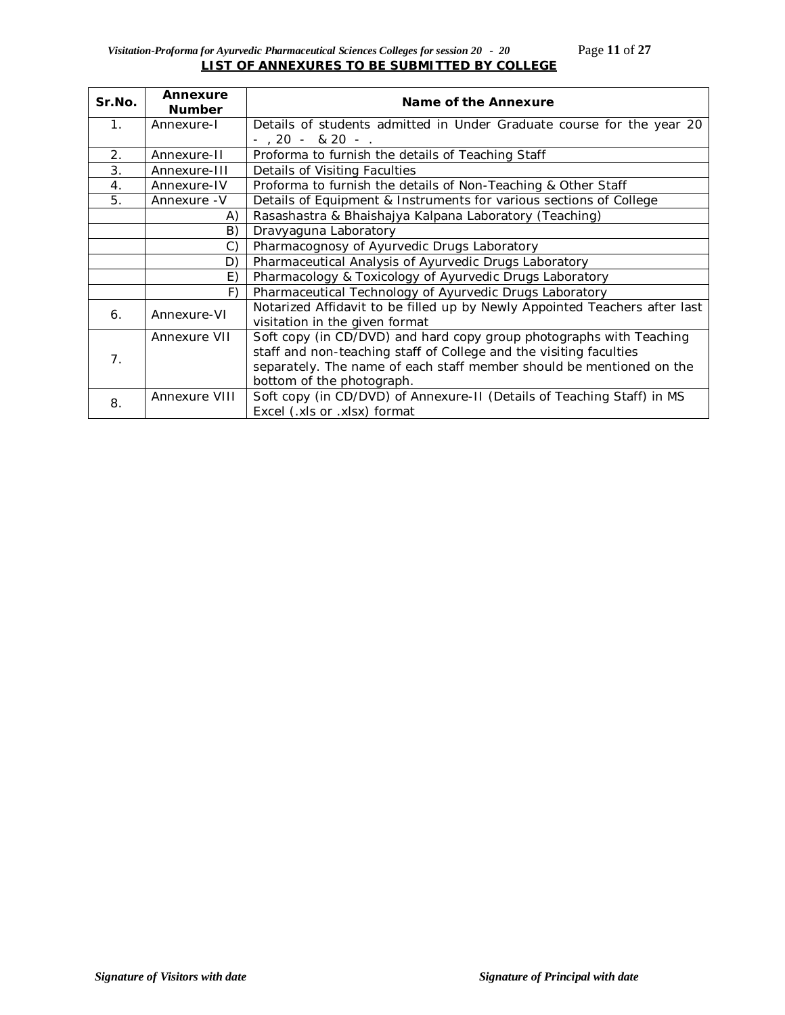### *Visitation-Proforma for Ayurvedic Pharmaceutical Sciences Colleges for session 20 - 20* Page **11** of **27 LIST OF ANNEXURES TO BE SUBMITTED BY COLLEGE**

| Sr.No.         | Annexure<br><b>Number</b>                                     | Name of the Annexure                                                       |
|----------------|---------------------------------------------------------------|----------------------------------------------------------------------------|
| $\mathbf{1}$ . | Annexure-I                                                    | Details of students admitted in Under Graduate course for the year 20      |
|                |                                                               | $-$ , 20 - & 20 - .                                                        |
| 2.             | Annexure-II                                                   | Proforma to furnish the details of Teaching Staff                          |
| 3.             | Annexure-III                                                  | Details of Visiting Faculties                                              |
| $\mathbf{4}$ . | Annexure-IV                                                   | Proforma to furnish the details of Non-Teaching & Other Staff              |
| 5.             | Annexure - V                                                  | Details of Equipment & Instruments for various sections of College         |
|                | Rasashastra & Bhaishajya Kalpana Laboratory (Teaching)<br>A)  |                                                                            |
|                | B)                                                            | Dravyaguna Laboratory                                                      |
|                | $\mathcal{C}$ )                                               | Pharmacognosy of Ayurvedic Drugs Laboratory                                |
|                | D)                                                            | Pharmaceutical Analysis of Ayurvedic Drugs Laboratory                      |
|                | Pharmacology & Toxicology of Ayurvedic Drugs Laboratory<br>E) |                                                                            |
|                | F)<br>Pharmaceutical Technology of Ayurvedic Drugs Laboratory |                                                                            |
| 6.             | Annexure-VI                                                   | Notarized Affidavit to be filled up by Newly Appointed Teachers after last |
|                |                                                               | visitation in the given format                                             |
|                | Annexure VII                                                  | Soft copy (in CD/DVD) and hard copy group photographs with Teaching        |
| 7.             |                                                               | staff and non-teaching staff of College and the visiting faculties         |
|                |                                                               | separately. The name of each staff member should be mentioned on the       |
|                |                                                               | bottom of the photograph.                                                  |
| 8.             | Annexure VIII                                                 | Soft copy (in CD/DVD) of Annexure-II (Details of Teaching Staff) in MS     |
|                |                                                               | Excel (.xls or .xlsx) format                                               |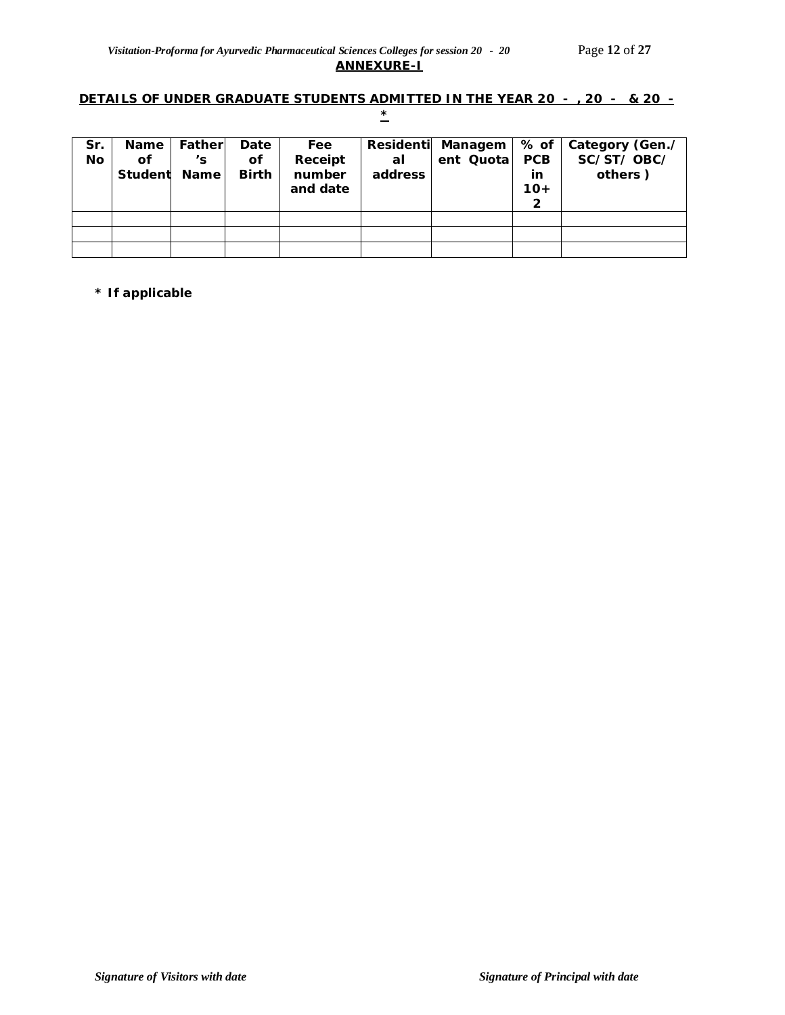# **DETAILS OF UNDER GRADUATE STUDENTS ADMITTED IN THE YEAR 20 - , 20 - & 20 - \***

| Sr.<br><b>No</b> | <b>Name</b><br>Οf<br>Student Name | Fatherl<br>'s | Date<br>οf<br><b>Birth</b> | Fee<br>Receipt<br>number<br>and date | al<br>address | Residenti Managem<br>ent Quota | % of<br><b>PCB</b><br>in<br>$10+$<br>2 | Category (Gen./<br>SC/ST/OBC/<br>others) |
|------------------|-----------------------------------|---------------|----------------------------|--------------------------------------|---------------|--------------------------------|----------------------------------------|------------------------------------------|
|                  |                                   |               |                            |                                      |               |                                |                                        |                                          |
|                  |                                   |               |                            |                                      |               |                                |                                        |                                          |
|                  |                                   |               |                            |                                      |               |                                |                                        |                                          |

**\* If applicable**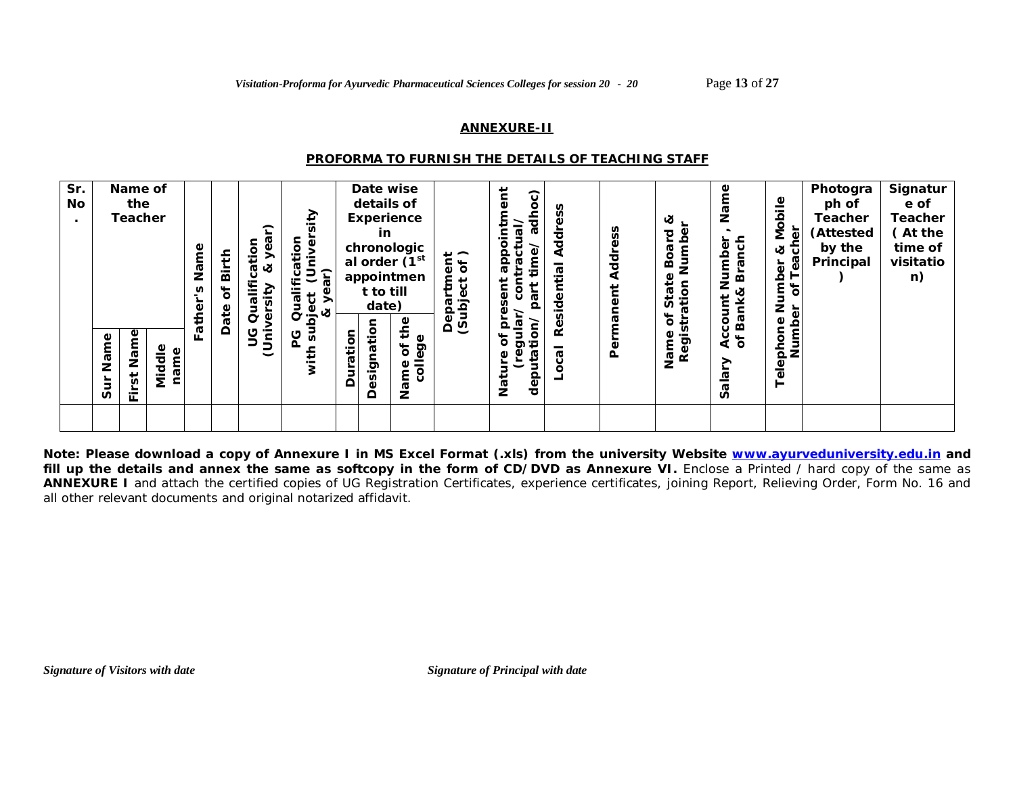#### **ANNEXURE-II**

#### *PROFORMA TO FURNISH THE DETAILS OF TEACHING STAFF*

| Sr.<br>No<br>$\bullet$ | Name of<br>the<br><b>Teacher</b>   |                                   | Name<br>n<br>ather | Birth<br>ð<br>Date | ⌒<br>ification<br>Φ<br>య<br>Quali<br>ō<br>Φ | Ξ<br>5<br>୧<br>₽<br>Qualifica<br>ct (U <sub>l</sub><br>year)<br>ಕ<br>Φ<br>$\frac{6}{5}$ $\alpha$ |          | details of<br>in<br>t to till<br>date) | Date wise<br><b>Experience</b><br>chronologic<br>al order (1 <sup>st</sup><br>appointmen | -∽<br>Ⴆ<br>ω<br>Ω | (ool<br>ਰੋ<br>₫<br>٥<br>۴<br>app<br>ä<br>ត<br>న్<br>$\mathbf{\Omega}$<br>G<br>Q | ၷ<br>Addr<br>ಸ<br>Residenti | Address<br>ent<br>an | ಜ<br>Numbe<br>ত<br>G<br>Bo<br>₽<br>ation<br>$\mathbb{E}^1$<br>n<br>ъ<br>≎ | Φ<br>g<br>anch<br>Number<br>卤<br><b>Bank&amp;</b><br>Account<br>of Bank8 | Mobile<br>$\overline{\mathbb{Q}}$<br>ಜ<br>ᅲ<br>ී<br>৳<br>Numb<br>Ⴆ<br>Φ | Photogra<br>ph of<br>Teacher<br>(Attested<br>by the<br>Principal | Signatur<br>e of<br><b>Teacher</b><br>(At the<br>time of<br>visitatio<br>n) |
|------------------------|------------------------------------|-----------------------------------|--------------------|--------------------|---------------------------------------------|--------------------------------------------------------------------------------------------------|----------|----------------------------------------|------------------------------------------------------------------------------------------|-------------------|---------------------------------------------------------------------------------|-----------------------------|----------------------|---------------------------------------------------------------------------|--------------------------------------------------------------------------|-------------------------------------------------------------------------|------------------------------------------------------------------|-----------------------------------------------------------------------------|
|                        | Name<br>Name<br>5<br>sur<br>∸<br>╙ | $\frac{e}{d}$<br>č<br>ত<br>έ<br>Ċ | ш.                 |                    | و<br>ia<br>Uni                              | us<br>ပ                                                                                          | Duration | esignation<br>≏                        | the<br>ege<br>Ⴆ<br>$\bar{5}$<br>Φ<br>Name                                                | ర ర               | ۰<br>ð<br>ত ≔<br>deputa<br>Φ<br>īa<br>Z                                         | ত<br>ن                      | $\overline{a}$       | Regist<br>Name                                                            | ➤<br>ă<br>S                                                              | Numb<br>Telephon                                                        |                                                                  |                                                                             |

**Note: Please download a copy of Annexure I in MS Excel Format (.xls) from the university Website www.ayurveduniversity.edu.in and**  fill up the details and annex the same as softcopy in the form of CD/DVD as Annexure VI. Enclose a Printed / hard copy of the same as **ANNEXURE I** and attach the certified copies of UG Registration Certificates, experience certificates, joining Report, Relieving Order, Form No. 16 and all other relevant documents and original notarized affidavit.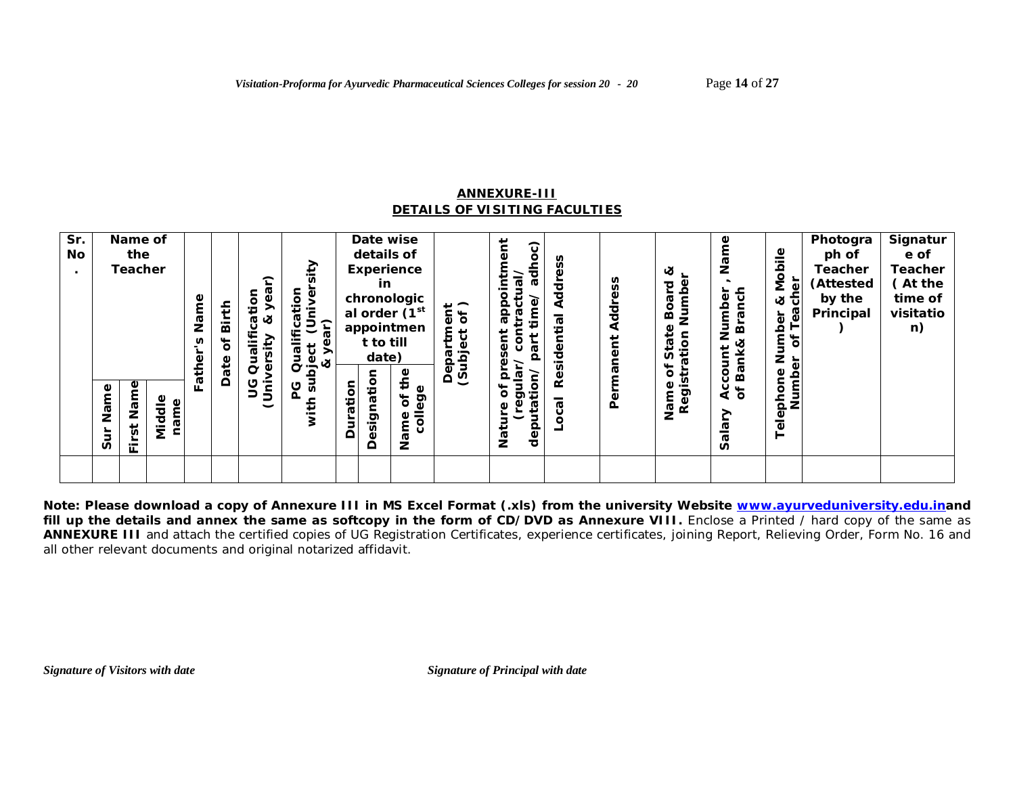#### **ANNEXURE-III** *DETAILS OF VISITING FACULTIES*

| Sr.<br>No<br>$\bullet$ | Name of<br>the<br><b>Teacher</b><br>Φ<br>Name<br>Nam | $\frac{e}{d}$  | Name<br>n<br>ather<br>ш. | Birth<br>ð<br>Date | ⌒<br>Qualification<br>Φ<br>త<br>≤<br>j<br>୧<br>9<br>ja<br>Uni | ↗<br>ä<br>Qualification<br>ye<br>ct (Uni<br>year)<br>ಕ<br>Φ<br>જ<br>jans<br>ပ |          | Date wise<br>details of<br>Experience<br>in<br>t to till<br>date)<br>esignation | chronologic<br>al order (1 <sup>st</sup><br>appointmen<br>the<br>ð | $\vec{e}$<br>Departme<br>(Subject o | Ĕ<br>ි<br>c<br>동<br>ntn<br>E<br>ᠭᢐ<br>٥<br><u>គី ឆ្លូ</u><br><b>G</b><br>ent<br>ä<br>న్<br>$\Omega$<br>ō<br>ቴ<br>Φ<br>ත | SS<br>공<br>⊄<br>ಸ<br>siden<br>قع<br>$\overline{\mathfrak{g}}$ | ddress<br>⋖<br>Permanent | ∞<br>Numbe<br>ਹ<br>న్<br>န္တ<br>ation<br>Sta <sup>-</sup><br>৳<br>Registr<br>Φ<br>Ě | Φ<br><u>ទី</u><br>Branch<br>Number<br><b>Bank&amp;</b><br>count<br>ँ<br>वै | Mobile<br>$\omega$<br>ঠ.<br>જ<br>ea<br>Number<br>۴<br>ð<br>Number<br>Telephone | Photogra<br>ph of<br><b>Teacher</b><br>(Attested<br>by the<br>Principal | Signatur<br>e of<br>Teacher<br>(At the<br>time of<br>visitatio<br>n) |
|------------------------|------------------------------------------------------|----------------|--------------------------|--------------------|---------------------------------------------------------------|-------------------------------------------------------------------------------|----------|---------------------------------------------------------------------------------|--------------------------------------------------------------------|-------------------------------------|-------------------------------------------------------------------------------------------------------------------------|---------------------------------------------------------------|--------------------------|-------------------------------------------------------------------------------------|----------------------------------------------------------------------------|--------------------------------------------------------------------------------|-------------------------------------------------------------------------|----------------------------------------------------------------------|
|                        | $\overline{5}$<br>È<br>n<br>Щ                        | name<br>ਹ<br>έ |                          |                    |                                                               |                                                                               | Duration | ≏                                                                               | college<br>Name                                                    |                                     | uta<br>Φ<br>ā<br>deb<br>Nati                                                                                            | ပ                                                             |                          | <b>R</b>                                                                            | ≧<br>Ф<br>ಸ<br>n                                                           |                                                                                |                                                                         |                                                                      |
|                        |                                                      |                |                          |                    |                                                               |                                                                               |          |                                                                                 |                                                                    |                                     |                                                                                                                         |                                                               |                          |                                                                                     |                                                                            |                                                                                |                                                                         |                                                                      |

**Note: Please download a copy of Annexure III in MS Excel Format (.xls) from the university Website www.ayurveduniversity.edu.inand**  fill up the details and annex the same as softcopy in the form of CD/DVD as Annexure VIII. Enclose a Printed / hard copy of the same as **ANNEXURE III** and attach the certified copies of UG Registration Certificates, experience certificates, joining Report, Relieving Order, Form No. 16 and all other relevant documents and original notarized affidavit.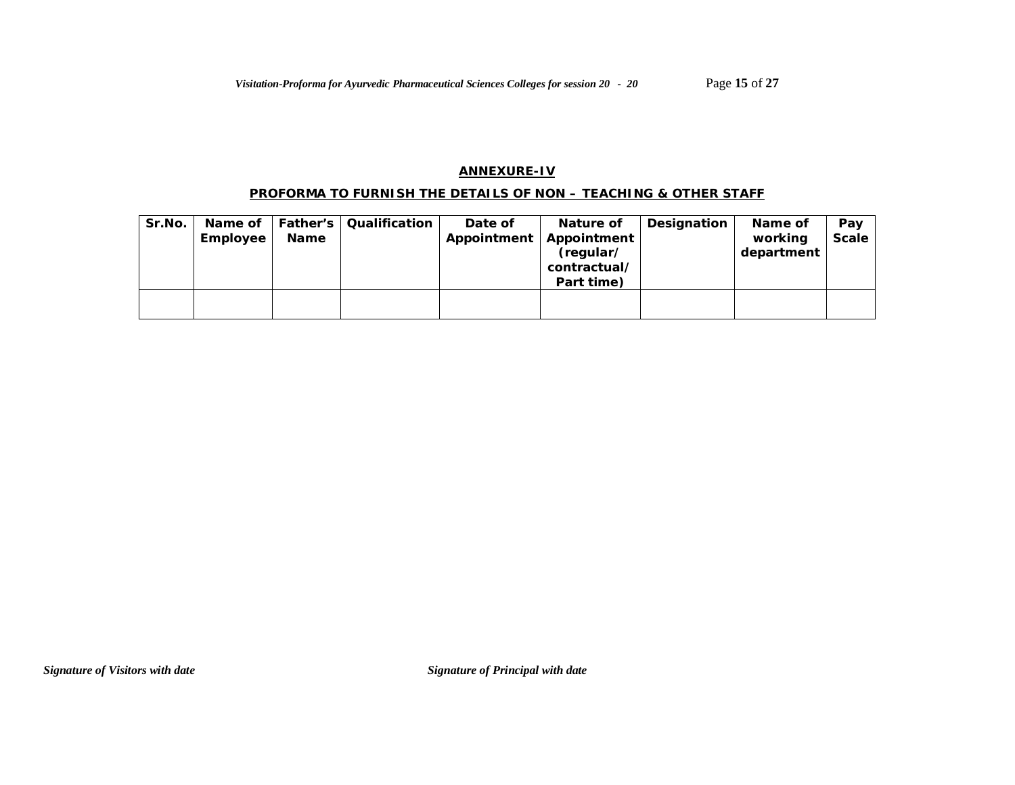### **ANNEXURE-IV**

### **PROFORMA TO FURNISH THE DETAILS OF NON – TEACHING & OTHER STAFF**

| Sr.No. | Name of<br>Employee | Name | <b>Father's   Qualification</b> | Date of<br>Appointment | Nature of<br>Appointment<br>(regular/<br>contractual/<br>Part time) | Designation | Name of<br>working<br>department | Pay<br><b>Scale</b> |
|--------|---------------------|------|---------------------------------|------------------------|---------------------------------------------------------------------|-------------|----------------------------------|---------------------|
|        |                     |      |                                 |                        |                                                                     |             |                                  |                     |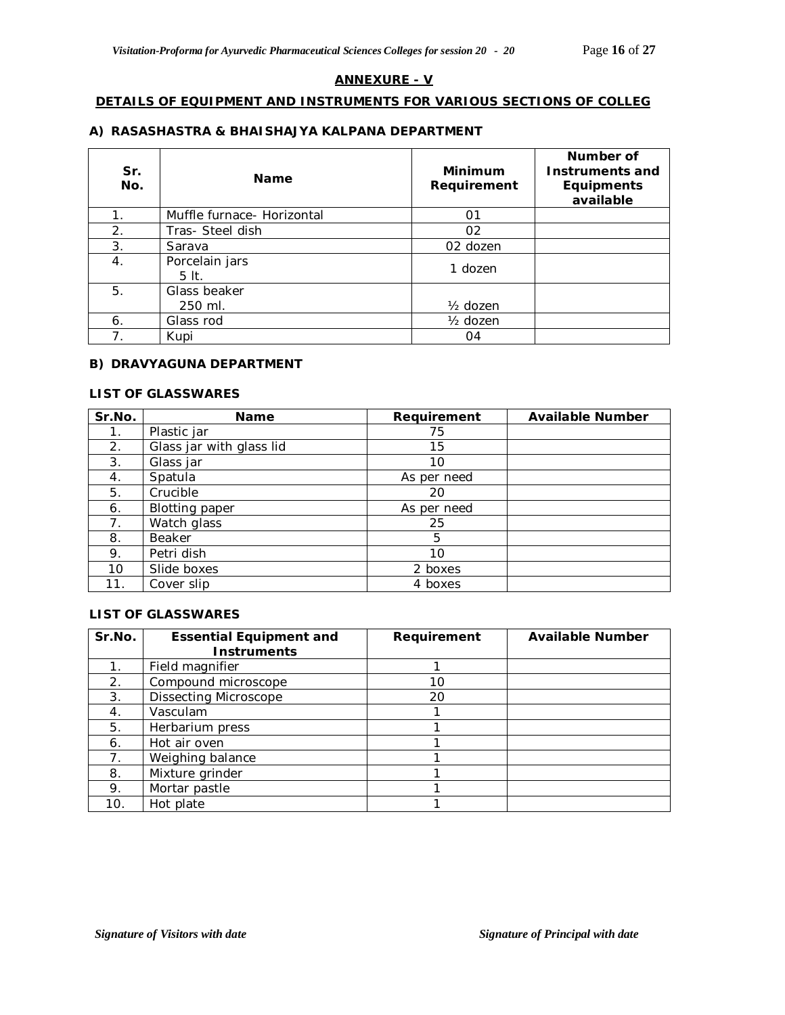#### **ANNEXURE - V**

# **DETAILS OF EQUIPMENT AND INSTRUMENTS FOR VARIOUS SECTIONS OF COLLEG**

#### **A) RASASHASTRA & BHAISHAJYA KALPANA DEPARTMENT**

| Sr.<br>No. | <b>Name</b>                 | <b>Minimum</b><br>Requirement | Number of<br><b>Instruments and</b><br><b>Equipments</b><br>available |
|------------|-----------------------------|-------------------------------|-----------------------------------------------------------------------|
| 1.         | Muffle furnace - Horizontal | 01                            |                                                                       |
| 2.         | Tras- Steel dish            | 02                            |                                                                       |
| 3.         | Sarava                      | 02 dozen                      |                                                                       |
| 4.         | Porcelain jars<br>$5It$ .   | 1 dozen                       |                                                                       |
| 5.         | Glass beaker                |                               |                                                                       |
|            | 250 ml.                     | $\frac{1}{2}$ dozen           |                                                                       |
| 6.         | Glass rod                   | $\frac{1}{2}$ dozen           |                                                                       |
|            | Kupi                        | 04                            |                                                                       |

#### **B) DRAVYAGUNA DEPARTMENT**

#### **LIST OF GLASSWARES**

| Sr.No. | <b>Name</b>              | Requirement | <b>Available Number</b> |
|--------|--------------------------|-------------|-------------------------|
| 1.     | Plastic jar              | 75          |                         |
| 2.     | Glass jar with glass lid | 15          |                         |
| 3.     | Glass jar                | 10          |                         |
| 4.     | Spatula                  | As per need |                         |
| 5.     | Crucible                 | 20          |                         |
| 6.     | <b>Blotting paper</b>    | As per need |                         |
| 7.     | Watch glass              | 25          |                         |
| 8.     | Beaker                   | 5           |                         |
| 9.     | Petri dish               | 10          |                         |
| 10     | Slide boxes              | 2 boxes     |                         |
| 11.    | Cover slip               | 4 boxes     |                         |

### **LIST OF GLASSWARES**

| Sr.No.         | <b>Essential Equipment and</b> | Requirement | <b>Available Number</b> |
|----------------|--------------------------------|-------------|-------------------------|
|                | <b>Instruments</b>             |             |                         |
| 1 <sub>1</sub> | Field magnifier                |             |                         |
| 2.             | Compound microscope            | 10          |                         |
| 3.             | <b>Dissecting Microscope</b>   | 20          |                         |
| 4.             | Vasculam                       |             |                         |
| 5.             | Herbarium press                |             |                         |
| 6.             | Hot air oven                   |             |                         |
| 7.             | Weighing balance               |             |                         |
| 8.             | Mixture grinder                |             |                         |
| 9.             | Mortar pastle                  |             |                         |
| 10.            | Hot plate                      |             |                         |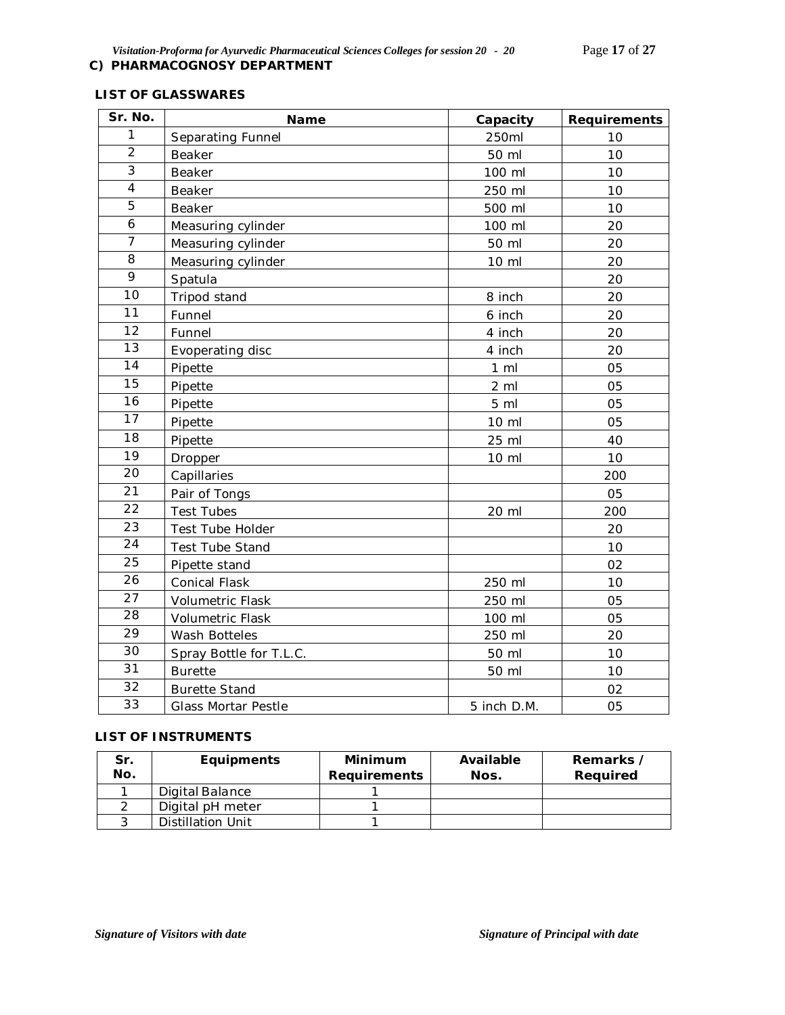# **LIST OF GLASSWARES**

| Sr. No.         | Name                       | Capacity       | Requirements |
|-----------------|----------------------------|----------------|--------------|
| 1               | Separating Funnel          | 250ml          | 10           |
| $\overline{2}$  | Beaker                     | 50 ml          | 10           |
| 3               | Beaker                     | 100 ml         | 10           |
| 4               | <b>Beaker</b>              | 250 ml         | 10           |
| 5               | Beaker                     | 500 ml         | 10           |
| 6               | Measuring cylinder         | 100 ml         | 20           |
| $\overline{7}$  | Measuring cylinder         | 50 ml          | 20           |
| 8               | Measuring cylinder         | 10 ml          | 20           |
| 9               | Spatula                    |                | 20           |
| 10              | Tripod stand               | 8 inch         | 20           |
| 11              | Funnel                     | 6 inch         | 20           |
| 12              | Funnel                     | 4 inch         | 20           |
| 13              | Evoperating disc           | 4 inch         | 20           |
| 14              | Pipette                    | $1 \,$ ml      | 05           |
| 15              | Pipette                    | $2 \,$ ml      | 05           |
| $\overline{16}$ | Pipette                    | 5 <sub>m</sub> | 05           |
| 17              | Pipette                    | 10 ml          | 05           |
| $\overline{18}$ | Pipette                    | 25 ml          | 40           |
| 19              | Dropper                    | 10 ml          | 10           |
| 20              | Capillaries                |                | 200          |
| 21              | Pair of Tongs              |                | 05           |
| 22              | <b>Test Tubes</b>          | 20 ml          | 200          |
| 23              | Test Tube Holder           |                | 20           |
| 24              | Test Tube Stand            |                | 10           |
| 25              | Pipette stand              |                | 02           |
| 26              | <b>Conical Flask</b>       | 250 ml         | 10           |
| 27              | Volumetric Flask           | 250 ml         | 05           |
| 28              | Volumetric Flask           | 100 ml         | 05           |
| 29              | Wash Botteles              | 250 ml         | 20           |
| 30              | Spray Bottle for T.L.C.    | 50 ml          | 10           |
| $\overline{31}$ | <b>Burette</b>             | 50 ml          | 10           |
| 32              | <b>Burette Stand</b>       |                | 02           |
| 33              | <b>Glass Mortar Pestle</b> | 5 inch D.M.    | 05           |

# **LIST OF INSTRUMENTS**

| Sr.<br>No. | <b>Equipments</b> | Minimum<br>Requirements | Available<br>Nos. | Remarks /<br>Reauired |
|------------|-------------------|-------------------------|-------------------|-----------------------|
|            | Digital Balance   |                         |                   |                       |
|            | Digital pH meter  |                         |                   |                       |
|            | Distillation Unit |                         |                   |                       |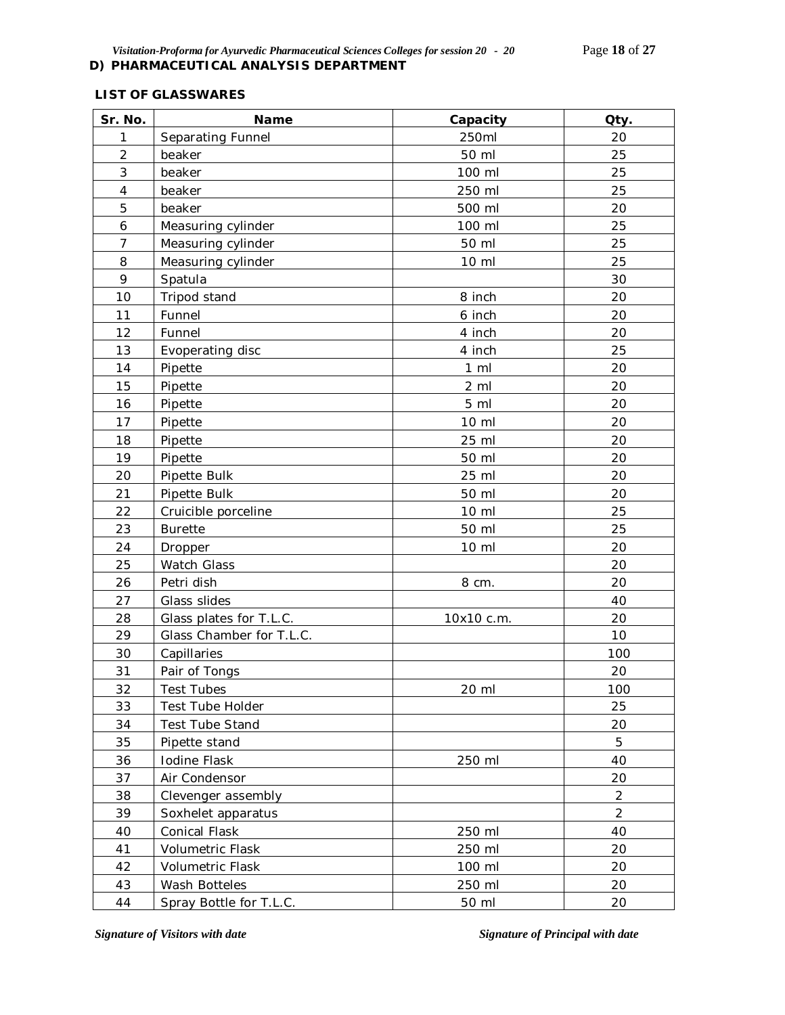# **LIST OF GLASSWARES**

| Sr. No.             | Name                     | Capacity       | Qty.           |
|---------------------|--------------------------|----------------|----------------|
| 1                   | Separating Funnel        | 250ml          | 20             |
| $\overline{2}$      | beaker                   | 50 ml          | 25             |
| 3                   | beaker                   | 100 ml         | 25             |
| $\overline{4}$      | beaker                   | 250 ml         | 25             |
| 5                   | beaker                   | 500 ml         | 20             |
| $\ddot{\mathbf{6}}$ | Measuring cylinder       | 100 ml         | 25             |
| $\overline{7}$      | Measuring cylinder       | 50 ml          | 25             |
| 8                   | Measuring cylinder       | 10 ml          | 25             |
| 9                   | Spatula                  |                | 30             |
| 10                  | Tripod stand             | 8 inch         | 20             |
| 11                  | Funnel                   | 6 inch         | 20             |
| 12                  | Funnel                   | 4 inch         | 20             |
| 13                  | Evoperating disc         | 4 inch         | 25             |
| 14                  | Pipette                  | $1 \,$ ml      | 20             |
| 15                  | Pipette                  | $2 \,$ ml      | 20             |
| 16                  | Pipette                  | 5 <sub>m</sub> | 20             |
| 17                  | Pipette                  | 10 ml          | 20             |
| 18                  | Pipette                  | 25 ml          | 20             |
| 19                  | Pipette                  | 50 ml          | 20             |
| 20                  | Pipette Bulk             | 25 ml          | 20             |
| 21                  | Pipette Bulk             | 50 ml          | 20             |
| 22                  | Cruicible porceline      | 10 ml          | 25             |
| 23                  | <b>Burette</b>           | 50 ml          | 25             |
| 24                  | Dropper                  | 10 ml          | 20             |
| 25                  | Watch Glass              |                | 20             |
| 26                  | Petri dish               | 8 cm.          | 20             |
| 27                  | Glass slides             |                | 40             |
| 28                  | Glass plates for T.L.C.  | 10x10 c.m.     | 20             |
| 29                  | Glass Chamber for T.L.C. |                | 10             |
| 30                  | Capillaries              |                | 100            |
| 31                  | Pair of Tongs            |                | 20             |
| 32                  | Test Tubes               | 20 ml          | 100            |
| 33                  | Test Tube Holder         |                | 25             |
| 34                  | <b>Test Tube Stand</b>   |                | 20             |
| 35                  | Pipette stand            |                | 5              |
| 36                  | Iodine Flask             | 250 ml         | 40             |
| 37                  | Air Condensor            |                | 20             |
| 38                  | Clevenger assembly       |                | $\overline{2}$ |
| 39                  | Soxhelet apparatus       |                | $\overline{2}$ |
| 40                  | Conical Flask            | 250 ml         | 40             |
| 41                  | Volumetric Flask         | 250 ml         | 20             |
| 42                  | Volumetric Flask         | 100 ml         | 20             |
| 43                  | Wash Botteles            | 250 ml         | 20             |
| 44                  | Spray Bottle for T.L.C.  | 50 ml          | 20             |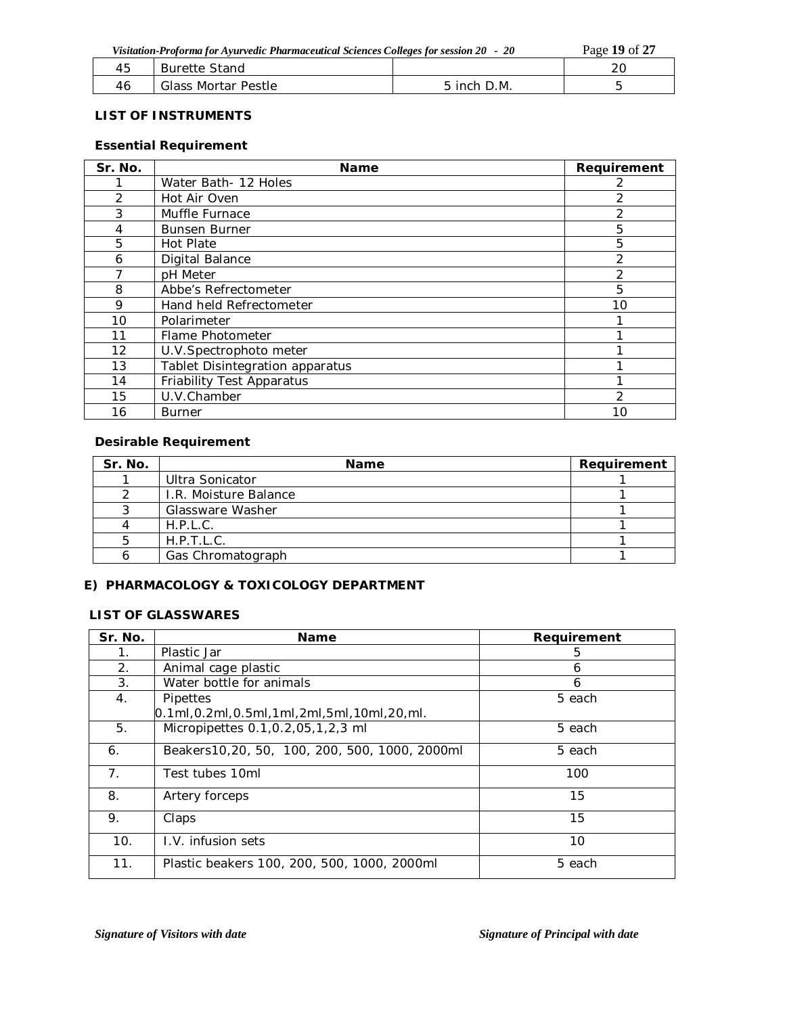|    | Visitation-Proforma for Ayurvedic Pharmaceutical Sciences Colleges for session 20 - 20 |             |  |  |  |  |  |
|----|----------------------------------------------------------------------------------------|-------------|--|--|--|--|--|
| 45 | Burette Stand                                                                          |             |  |  |  |  |  |
| 46 | Glass Mortar Pestle                                                                    | 5 inch D.M. |  |  |  |  |  |

### **LIST OF INSTRUMENTS**

# **Essential Requirement**

| Sr. No.           | <b>Name</b>                     | Requirement    |
|-------------------|---------------------------------|----------------|
|                   | Water Bath-12 Holes             |                |
| 2                 | Hot Air Oven                    | 2              |
| 3                 | Muffle Furnace                  | 2              |
| 4                 | <b>Bunsen Burner</b>            | 5              |
| 5                 | <b>Hot Plate</b>                | 5              |
| 6                 | Digital Balance                 | 2              |
|                   | pH Meter                        | $\mathcal{P}$  |
| 8                 | Abbe's Refrectometer            | 5              |
| 9                 | Hand held Refrectometer         | 10             |
| 10                | Polarimeter                     |                |
| 11                | Flame Photometer                |                |
| $12 \overline{ }$ | U.V.Spectrophoto meter          |                |
| 13                | Tablet Disintegration apparatus |                |
| 14                | Friability Test Apparatus       |                |
| 15                | U.V.Chamber                     | $\mathfrak{D}$ |
| 16                | <b>Burner</b>                   | 10             |

### **Desirable Requirement**

| Sr. No. | <b>Name</b>           | Requirement |
|---------|-----------------------|-------------|
|         | Ultra Sonicator       |             |
|         | I.R. Moisture Balance |             |
|         | Glassware Washer      |             |
| ⊿       | H.P.L.C.              |             |
| 5       | H.P.T.L.C.            |             |
| n       | Gas Chromatograph     |             |

# **E) PHARMACOLOGY & TOXICOLOGY DEPARTMENT**

# **LIST OF GLASSWARES**

| Sr. No. | <b>Name</b>                                           | Requirement |
|---------|-------------------------------------------------------|-------------|
| 1.      | Plastic Jar                                           | 5           |
| 2.      | Animal cage plastic                                   | 6           |
| 3.      | Water bottle for animals                              | 6           |
| 4.      | Pipettes                                              | 5 each      |
|         | $[0.1$ ml, 0.2ml, 0.5ml, 1ml, 2ml, 5ml, 10ml, 20, ml. |             |
| 5.      | Micropipettes 0.1, 0.2, 05, 1, 2, 3 ml                | 5 each      |
| 6.      | Beakers 10, 20, 50, 100, 200, 500, 1000, 2000ml       | 5 each      |
| 7.      | Test tubes 10ml                                       | 100         |
| 8.      | Artery forceps                                        | 15          |
| 9.      | Claps                                                 | 15          |
| 10.     | I.V. infusion sets                                    | 10          |
| 11.     | Plastic beakers 100, 200, 500, 1000, 2000ml           | 5 each      |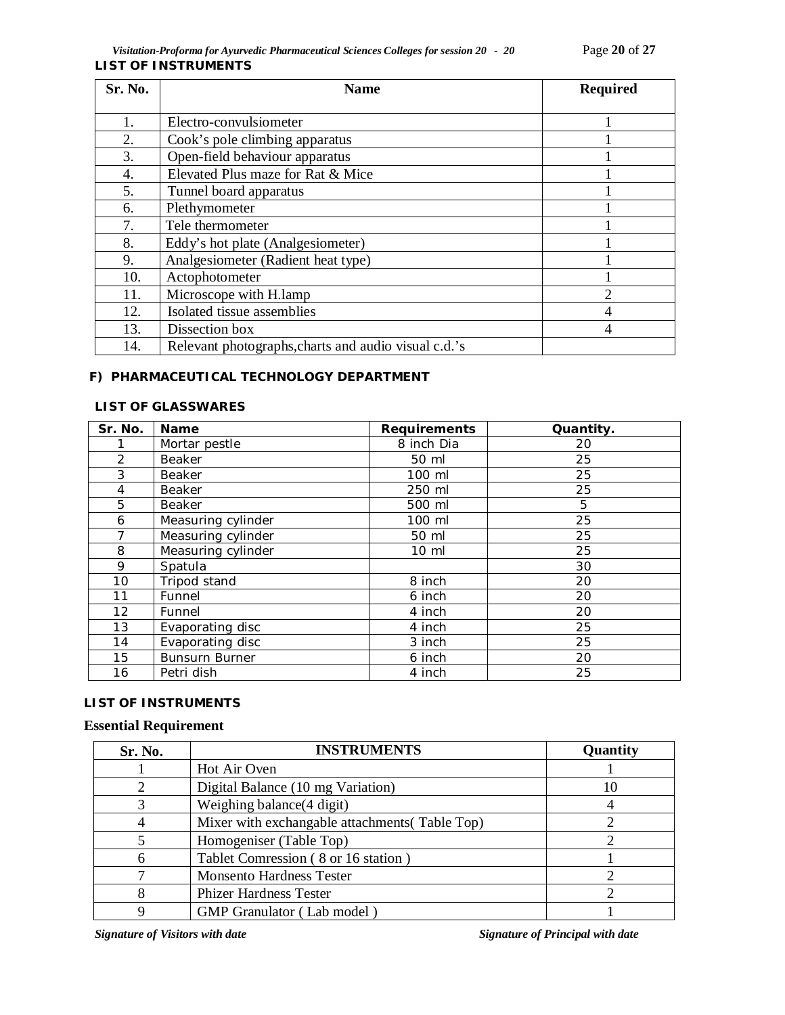| Sr. No. | <b>Name</b>                                          | <b>Required</b> |
|---------|------------------------------------------------------|-----------------|
|         |                                                      |                 |
| 1.      | Electro-convulsiometer                               |                 |
| 2.      | Cook's pole climbing apparatus                       |                 |
| 3.      | Open-field behaviour apparatus                       |                 |
| 4.      | Elevated Plus maze for Rat & Mice                    |                 |
| 5.      | Tunnel board apparatus                               |                 |
| 6.      | Plethymometer                                        |                 |
| 7.      | Tele thermometer                                     |                 |
| 8.      | Eddy's hot plate (Analgesiometer)                    |                 |
| 9.      | Analgesiometer (Radient heat type)                   |                 |
| 10.     | Actophotometer                                       |                 |
| 11.     | Microscope with H.lamp                               | $\overline{2}$  |
| 12.     | Isolated tissue assemblies                           | 4               |
| 13.     | Dissection box                                       | 4               |
| 14.     | Relevant photographs, charts and audio visual c.d.'s |                 |

# **F) PHARMACEUTICAL TECHNOLOGY DEPARTMENT**

### **LIST OF GLASSWARES**

| Sr. No.        | <b>Name</b>           | <b>Requirements</b> | Quantity. |
|----------------|-----------------------|---------------------|-----------|
|                | Mortar pestle         | 8 inch Dia          | 20        |
| 2              | Beaker                | 50 ml               | 25        |
| 3              | Beaker                | 100 ml              | 25        |
| $\overline{4}$ | Beaker                | 250 ml              | 25        |
| 5              | Beaker                | 500 ml              | 5         |
| 6              | Measuring cylinder    | 100 ml              | 25        |
| 7              | Measuring cylinder    | 50 ml               | 25        |
| 8              | Measuring cylinder    | $10 \mathrm{m}$     | 25        |
| 9              | Spatula               |                     | 30        |
| 10             | Tripod stand          | 8 inch              | 20        |
| 11             | Funnel                | 6 inch              | 20        |
| 12             | Funnel                | 4 inch              | 20        |
| 13             | Evaporating disc      | 4 inch              | 25        |
| 14             | Evaporating disc      | 3 inch              | 25        |
| 15             | <b>Bunsurn Burner</b> | 6 inch              | 20        |
| 16             | Petri dish            | 4 inch              | 25        |

### **LIST OF INSTRUMENTS**

# **Essential Requirement**

| Sr. No. | <b>INSTRUMENTS</b>                             | Quantity |
|---------|------------------------------------------------|----------|
|         | Hot Air Oven                                   |          |
| 2       | Digital Balance (10 mg Variation)              | 10       |
|         | Weighing balance(4 digit)                      |          |
|         | Mixer with exchangable attachments (Table Top) |          |
|         | Homogeniser (Table Top)                        |          |
|         | Tablet Comression (8 or 16 station)            |          |
|         | <b>Monsento Hardness Tester</b>                |          |
|         | <b>Phizer Hardness Tester</b>                  |          |
|         | GMP Granulator (Lab model)                     |          |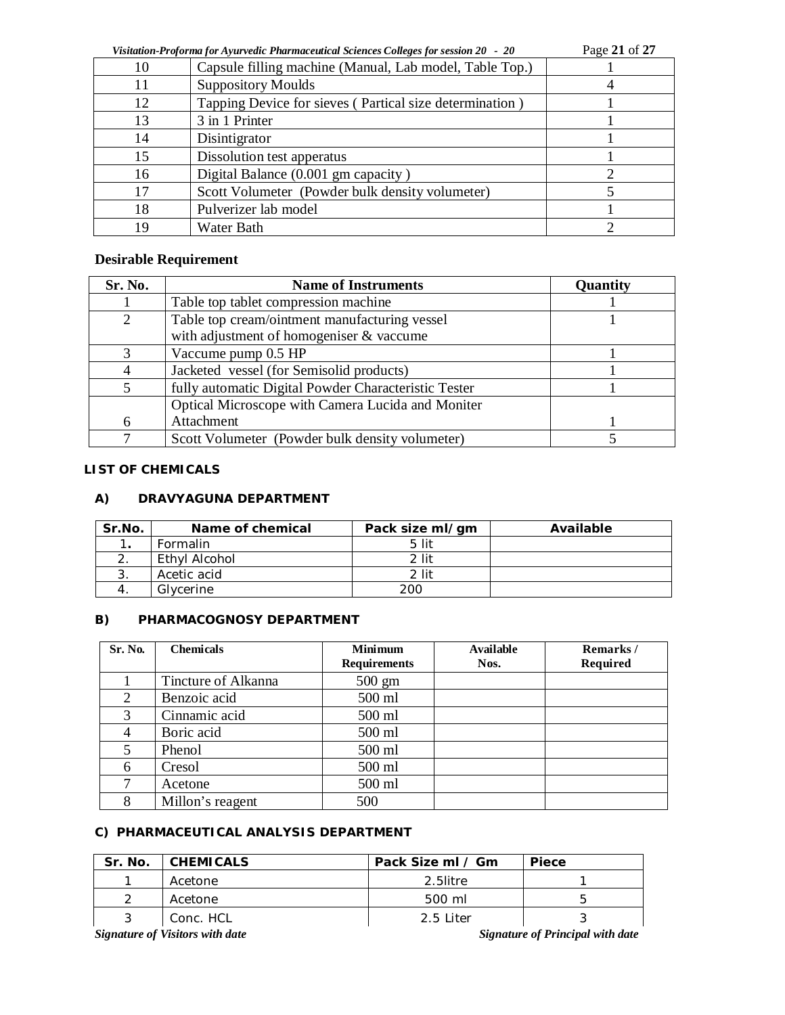| Visitation-Proforma for Ayurvedic Pharmaceutical Sciences Colleges for session 20 - 20 | Page 21 of 27 |  |
|----------------------------------------------------------------------------------------|---------------|--|
|----------------------------------------------------------------------------------------|---------------|--|

| $\eta$ ishtinon-1 roporma for tryin reale 1 minimetation selences concers for session 20 $-$ 20<br>$1 \mu$ |                                                         |  |
|------------------------------------------------------------------------------------------------------------|---------------------------------------------------------|--|
| 10                                                                                                         | Capsule filling machine (Manual, Lab model, Table Top.) |  |
| 11                                                                                                         | <b>Suppository Moulds</b>                               |  |
| 12                                                                                                         | Tapping Device for sieves (Partical size determination) |  |
| 13                                                                                                         | 3 in 1 Printer                                          |  |
| 14                                                                                                         | Disintigrator                                           |  |
| 15                                                                                                         | Dissolution test apperatus                              |  |
| 16                                                                                                         | Digital Balance (0.001 gm capacity)                     |  |
| 17                                                                                                         | Scott Volumeter (Powder bulk density volumeter)         |  |
| 18                                                                                                         | Pulverizer lab model                                    |  |
| 19                                                                                                         | Water Bath                                              |  |

# **Desirable Requirement**

| Sr. No.       | <b>Name of Instruments</b>                           | <b>Quantity</b> |
|---------------|------------------------------------------------------|-----------------|
|               | Table top tablet compression machine                 |                 |
| 2             | Table top cream/ointment manufacturing vessel        |                 |
|               | with adjustment of homogeniser & vaccume             |                 |
| $\mathcal{R}$ | Vaccume pump 0.5 HP                                  |                 |
| 4             | Jacketed vessel (for Semisolid products)             |                 |
| 5             | fully automatic Digital Powder Characteristic Tester |                 |
|               | Optical Microscope with Camera Lucida and Moniter    |                 |
| 6             | Attachment                                           |                 |
|               | Scott Volumeter (Powder bulk density volumeter)      |                 |

## **LIST OF CHEMICALS**

### **A) DRAVYAGUNA DEPARTMENT**

| Sr.No. | Name of chemical | Pack size ml/gm | Available |
|--------|------------------|-----------------|-----------|
| . .    | <b>Formalin</b>  | 5 lit           |           |
|        | Ethyl Alcohol    | 2 lit           |           |
|        | Acetic acid      | 2 lit           |           |
|        | Glycerine        | 200             |           |

### **B) PHARMACOGNOSY DEPARTMENT**

| Sr. No. | <b>Chemicals</b>    | <b>Minimum</b>      | Available | Remarks/ |
|---------|---------------------|---------------------|-----------|----------|
|         |                     | <b>Requirements</b> | Nos.      | Required |
|         | Tincture of Alkanna | $500 \text{ gm}$    |           |          |
| 2       | Benzoic acid        | 500 ml              |           |          |
| 3       | Cinnamic acid       | 500 ml              |           |          |
|         | Boric acid          | 500 ml              |           |          |
|         | Phenol              | 500 ml              |           |          |
| 6       | Cresol              | 500 ml              |           |          |
|         | Acetone             | 500 ml              |           |          |
| 8       | Millon's reagent    | 500                 |           |          |

# **C) PHARMACEUTICAL ANALYSIS DEPARTMENT**

| Sr. No. | <b>CHEMICALS</b> | Pack Size ml / Gm | <b>Piece</b> |
|---------|------------------|-------------------|--------------|
|         | Acetone          | 2.5litre          |              |
| ◠       | Acetone          | 500 ml            |              |
| 3       | Conc. HCL        | 2.5 Liter         |              |
| --      |                  | $-$               | .            |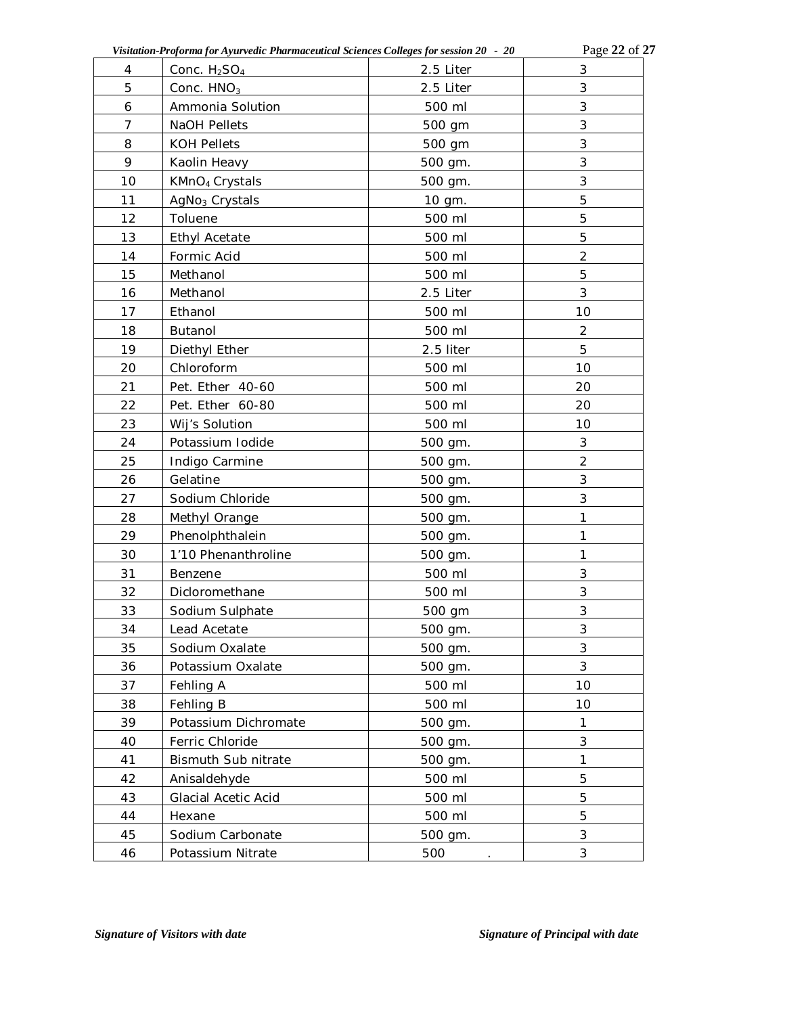| Visitation-Proforma for Ayurvedic Pharmaceutical Sciences Colleges for session 20 - 20 | Page 22 of 27 |
|----------------------------------------------------------------------------------------|---------------|
|                                                                                        |               |

| 4              | Conc. $H_2SO_4$            | 2.5 Liter | 3              |
|----------------|----------------------------|-----------|----------------|
| 5              | Conc. $HNO3$<br>2.5 Liter  |           | 3              |
| 6              | Ammonia Solution           | 500 ml    | 3              |
| $\overline{7}$ | NaOH Pellets               | 500 gm    | $\mathfrak{Z}$ |
| 8              | <b>KOH Pellets</b>         | 500 gm    | $\mathfrak{Z}$ |
| 9              | Kaolin Heavy               | 500 gm.   | $\mathfrak{Z}$ |
| 10             | KMnO <sub>4</sub> Crystals | 500 gm.   | 3              |
| 11             | AgNo <sub>3</sub> Crystals | 10 gm.    | 5              |
| 12             | Toluene                    | 500 ml    | 5              |
| 13             | Ethyl Acetate              | 500 ml    | 5              |
| 14             | Formic Acid                | 500 ml    | $\overline{2}$ |
| 15             | Methanol                   | 500 ml    | 5              |
| 16             | Methanol                   | 2.5 Liter | 3              |
| 17             | Ethanol                    | 500 ml    | 10             |
| 18             | Butanol                    | 500 ml    | $\overline{2}$ |
| 19             | Diethyl Ether              | 2.5 liter | 5              |
| 20             | Chloroform                 | 500 ml    | 10             |
| 21             | Pet. Ether 40-60           | 500 ml    | 20             |
| 22             | Pet. Ether 60-80           | 500 ml    | 20             |
| 23             | Wij's Solution             | 500 ml    | 10             |
| 24             | Potassium Iodide           | 500 gm.   | 3              |
| 25             | Indigo Carmine             | 500 gm.   | $\overline{2}$ |
| 26             | Gelatine                   | 500 gm.   | $\sqrt{3}$     |
| 27             | Sodium Chloride            | 500 gm.   | 3              |
| 28             | Methyl Orange              | 500 gm.   | 1              |
| 29             | Phenolphthalein            | 500 gm.   | 1              |
| 30             | 1'10 Phenanthroline        | 500 gm.   | $\mathbf{1}$   |
| 31             | Benzene                    | 500 ml    | 3              |
| 32             | Dicloromethane             | 500 ml    | 3              |
| 33             | Sodium Sulphate            | 500 gm    | $\sqrt{3}$     |
| 34             | Lead Acetate               | 500 gm.   | 3              |
| 35             | Sodium Oxalate             | 500 gm.   | 3              |
| 36             | Potassium Oxalate          | 500 gm.   | 3              |
| 37             | Fehling A                  | 500 ml    | 10             |
| 38             | Fehling B                  | 500 ml    | 10             |
| 39             | Potassium Dichromate       | 500 gm.   | 1              |
| 40             | Ferric Chloride            | 500 gm.   | 3              |
| 41             | Bismuth Sub nitrate        | 500 gm.   | $\mathbf{1}$   |
| 42             | Anisaldehyde               | 500 ml    | 5              |
| 43             | Glacial Acetic Acid        | 500 ml    | 5              |
| 44             | Hexane                     | 500 ml    | 5              |
| 45             | Sodium Carbonate           | 500 gm.   | 3              |
| 46             | Potassium Nitrate          | 500       | $\sqrt{3}$     |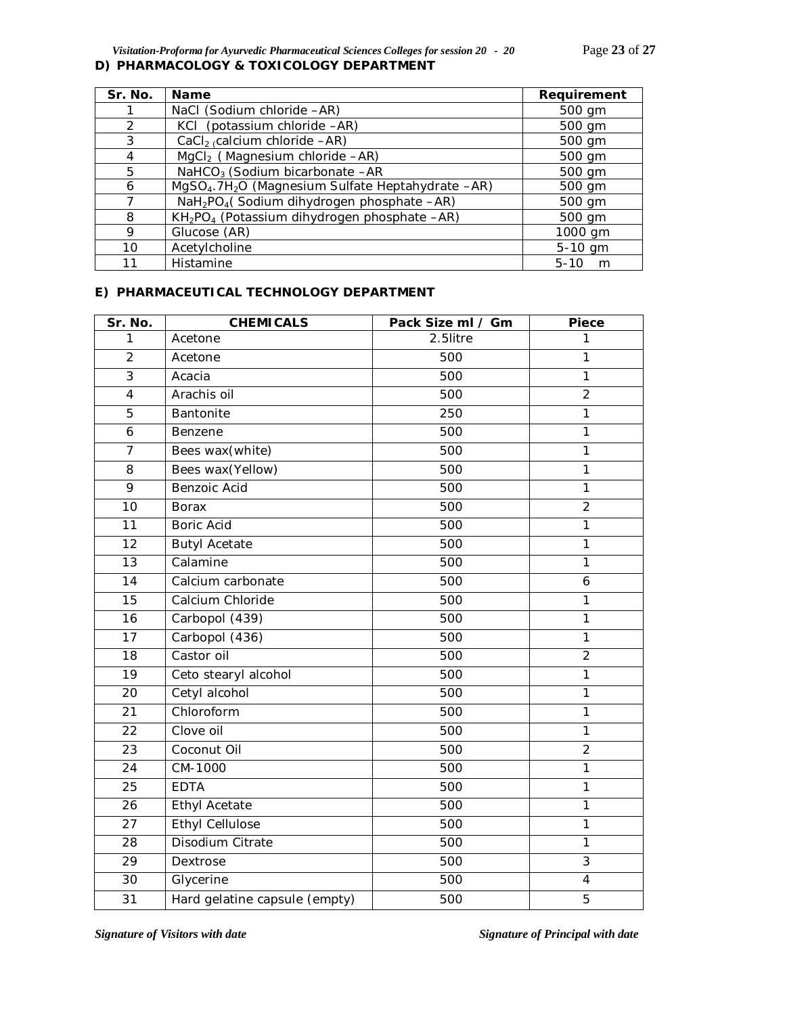*Visitation-Proforma for Ayurvedic Pharmaceutical Sciences Colleges for session 20 - 20* Page **23** of **27 D) PHARMACOLOGY & TOXICOLOGY DEPARTMENT**

| Sr. No.       | <b>Name</b>                                                               | Requirement   |
|---------------|---------------------------------------------------------------------------|---------------|
|               | NaCl (Sodium chloride -AR)                                                | 500 gm        |
| $\mathcal{P}$ | KCI (potassium chloride -AR)                                              | 500 gm        |
| 3             | CaCl <sub>2</sub> (calcium chloride $-AR$ )                               | 500 gm        |
| 4             | MgCl <sub>2</sub> (Magnesium chloride -AR)                                | 500 gm        |
| 5             | NaHCO <sub>3</sub> (Sodium bicarbonate -AR                                | 500 gm        |
| 6             | MgSO <sub>4</sub> .7H <sub>2</sub> O (Magnesium Sulfate Heptahydrate -AR) | 500 gm        |
|               | NaH <sub>2</sub> PO <sub>4</sub> (Sodium dihydrogen phosphate -AR)        | 500 gm        |
| 8             | KH <sub>2</sub> PO <sub>4</sub> (Potassium dihydrogen phosphate -AR)      | 500 gm        |
| 9             | Glucose (AR)                                                              | 1000 gm       |
| 10            | Acetylcholine                                                             | 5-10 gm       |
| 11            | Histamine                                                                 | $5 - 10$<br>m |

### **E) PHARMACEUTICAL TECHNOLOGY DEPARTMENT**

| Sr. No.         | <b>CHEMICALS</b>              | Pack Size ml / Gm | Piece                   |
|-----------------|-------------------------------|-------------------|-------------------------|
| 1               | Acetone                       | 2.5litre          | 1                       |
| $\overline{2}$  | Acetone                       | 500               | 1                       |
| 3               | Acacia                        | 500               | $\mathbf{1}$            |
| $\overline{4}$  | Arachis oil                   | 500               | $\overline{2}$          |
| $\overline{5}$  | Bantonite                     | 250               | $\overline{1}$          |
| 6               | Benzene                       | 500               | $\mathbf{1}$            |
| $\overline{7}$  | Bees wax(white)               | 500               | 1                       |
| 8               | Bees wax(Yellow)              | 500               | $\mathbf{1}$            |
| 9               | Benzoic Acid                  | 500               | $\mathbf{1}$            |
| 10              | <b>Borax</b>                  | 500               | $\overline{2}$          |
| 11              | <b>Boric Acid</b>             | 500               | $\overline{1}$          |
| 12              | <b>Butyl Acetate</b>          | 500               | $\mathbf{1}$            |
| 13              | Calamine                      | 500               | $\mathbf{1}$            |
| $\overline{14}$ | Calcium carbonate             | 500               | 6                       |
| 15              | Calcium Chloride              | 500               | $\mathbf{1}$            |
| 16              | Carbopol (439)                | 500               | $\mathbf{1}$            |
| 17              | Carbopol (436)                | 500               | $\mathbf{1}$            |
| 18              | Castor oil                    | 500               | $\overline{2}$          |
| 19              | Ceto stearyl alcohol          | 500               | $\mathbf{1}$            |
| 20              | Cetyl alcohol                 | 500               | $\mathbf{1}$            |
| 21              | Chloroform                    | 500               | $\mathbf{1}$            |
| 22              | Clove oil                     | 500               | $\mathbf{1}$            |
| 23              | Coconut Oil                   | 500               | $\overline{2}$          |
| 24              | CM-1000                       | 500               | $\mathbf{1}$            |
| 25              | <b>EDTA</b>                   | 500               | 1                       |
| 26              | <b>Ethyl Acetate</b>          | 500               | $\mathbf{1}$            |
| 27              | <b>Ethyl Cellulose</b>        | 500               | $\mathbf{1}$            |
| 28              | Disodium Citrate              | 500               | $\mathbf{1}$            |
| 29              | Dextrose                      | 500               | $\overline{3}$          |
| 30              | Glycerine                     | 500               | $\overline{\mathbf{4}}$ |
| 31              | Hard gelatine capsule (empty) | 500               | 5                       |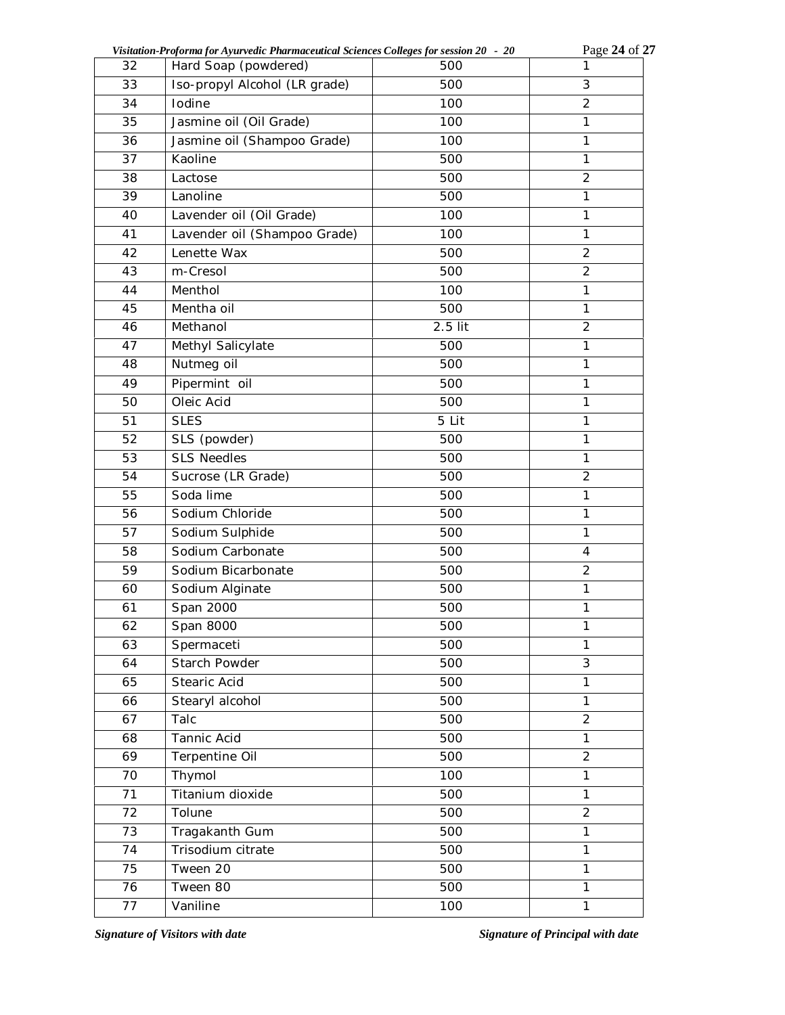| Visitation-Proforma for Ayurvedic Pharmaceutical Sciences Colleges for session 20 - 20 |  |
|----------------------------------------------------------------------------------------|--|
|                                                                                        |  |

*Visitation-Proforma for Ayurvedic Pharmaceutical Sciences Colleges for session 20 - 20* Page **24** of **27**

| 32 | Hard Soap (powdered)          | 500     | 1              |
|----|-------------------------------|---------|----------------|
| 33 | Iso-propyl Alcohol (LR grade) | 500     | 3              |
| 34 | Iodine                        | 100     | $\overline{2}$ |
| 35 | Jasmine oil (Oil Grade)       | 100     | $\mathbf{1}$   |
| 36 | Jasmine oil (Shampoo Grade)   | 100     | $\mathbf{1}$   |
| 37 | Kaoline                       | 500     | 1              |
| 38 | Lactose                       | 500     | $\overline{2}$ |
| 39 | Lanoline                      | 500     | $\mathbf{1}$   |
| 40 | Lavender oil (Oil Grade)      | 100     | $\mathbf{1}$   |
| 41 | Lavender oil (Shampoo Grade)  | 100     | $\mathbf{1}$   |
| 42 | Lenette Wax                   | 500     | $\overline{c}$ |
| 43 | m-Cresol                      | 500     | $\overline{2}$ |
| 44 | Menthol                       | 100     | 1              |
| 45 | Mentha oil                    | 500     | $\mathbf{1}$   |
| 46 | Methanol                      | 2.5 lit | $\overline{2}$ |
| 47 | Methyl Salicylate             | 500     | $\mathbf{1}$   |
| 48 | Nutmeg oil                    | 500     | $\mathbf{1}$   |
| 49 | Pipermint oil                 | 500     | $\mathbf{1}$   |
| 50 | Oleic Acid                    | 500     | $\mathbf{1}$   |
| 51 | <b>SLES</b>                   | 5 Lit   | 1              |
| 52 | SLS (powder)                  | 500     | 1              |
| 53 | <b>SLS Needles</b>            | 500     | $\mathbf{1}$   |
| 54 | Sucrose (LR Grade)            | 500     | $\overline{2}$ |
| 55 | Soda lime                     | 500     | $\mathbf{1}$   |
| 56 | Sodium Chloride               | 500     | 1              |
| 57 | Sodium Sulphide               | 500     | $\mathbf{1}$   |
| 58 | Sodium Carbonate              | 500     | 4              |
| 59 | Sodium Bicarbonate            | 500     | $\overline{2}$ |
| 60 | Sodium Alginate               | 500     | $\mathbf{1}$   |
| 61 | Span 2000                     | 500     | 1              |
| 62 | Span 8000                     | 500     | $\mathbf{1}$   |
| 63 | Spermaceti                    | 500     | 1              |
| 64 | Starch Powder                 | 500     | $\overline{3}$ |
| 65 | Stearic Acid                  | 500     | 1              |
| 66 | Stearyl alcohol               | 500     | $\mathbf{1}$   |
| 67 | Talc                          | 500     | $\overline{2}$ |
| 68 | Tannic Acid                   | 500     | $\mathbf{1}$   |
| 69 | Terpentine Oil                | 500     | $\overline{2}$ |
| 70 | Thymol                        | 100     | $\mathbf{1}$   |
| 71 | Titanium dioxide              | 500     | $\mathbf{1}$   |
| 72 | Tolune                        | 500     | $\overline{2}$ |
| 73 | Tragakanth Gum                | 500     | 1              |
| 74 | Trisodium citrate             | 500     | $\mathbf{1}$   |
| 75 | Tween 20                      | 500     | $\mathbf{1}$   |
| 76 | Tween 80                      | 500     | $\mathbf{1}$   |
| 77 | Vaniline                      | 100     | 1              |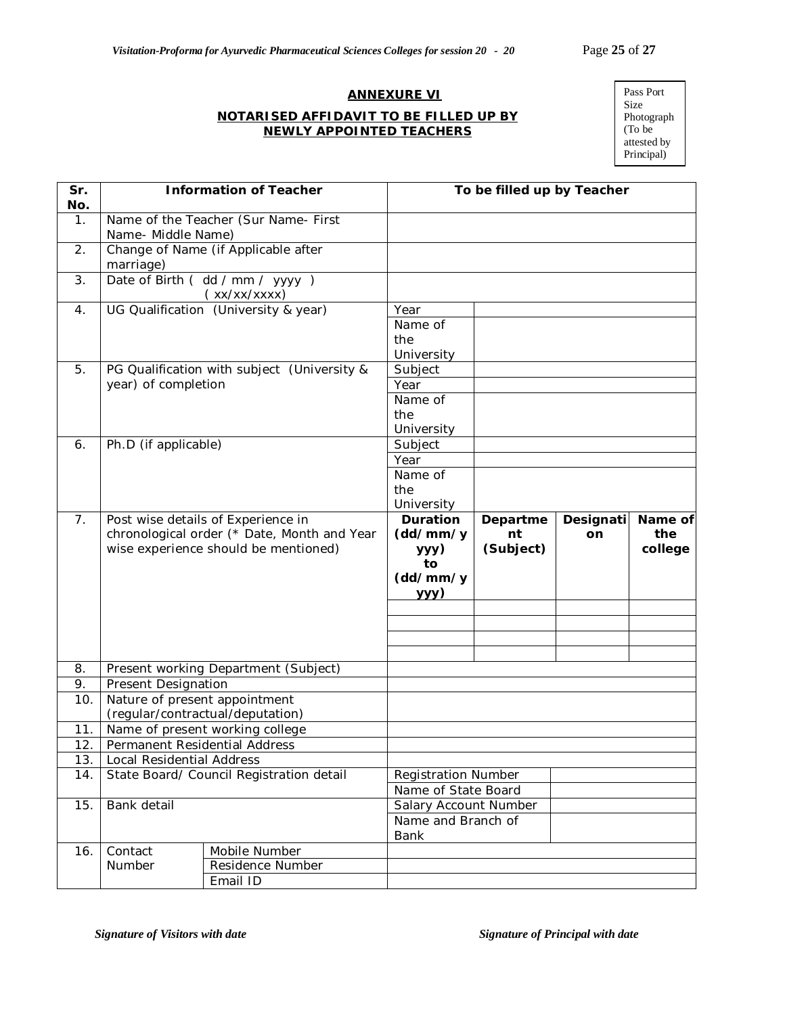### **ANNEXURE VI**

### **NOTARISED AFFIDAVIT TO BE FILLED UP BY NEWLY APPOINTED TEACHERS**

Pass Port Size Photograph (To be attested by Principal)

| Sr.              | <b>Information of Teacher</b>            |                                                                                     | To be filled up by Teacher                 |                 |           |                |
|------------------|------------------------------------------|-------------------------------------------------------------------------------------|--------------------------------------------|-----------------|-----------|----------------|
| No.              |                                          |                                                                                     |                                            |                 |           |                |
| $\mathbf{1}$ .   | Name- Middle Name)                       | Name of the Teacher (Sur Name- First                                                |                                            |                 |           |                |
| 2.               | marriage)                                | Change of Name (if Applicable after                                                 |                                            |                 |           |                |
| 3.               |                                          | Date of Birth (dd / mm / yyyy)<br>(xx/xx/xxxx)                                      |                                            |                 |           |                |
| $\overline{4}$ . |                                          | UG Qualification (University & year)                                                | Year                                       |                 |           |                |
|                  |                                          |                                                                                     | Name of                                    |                 |           |                |
|                  |                                          |                                                                                     | the                                        |                 |           |                |
|                  |                                          |                                                                                     | University                                 |                 |           |                |
| 5.               |                                          | PG Qualification with subject (University &                                         | Subject                                    |                 |           |                |
|                  | year) of completion                      |                                                                                     | Year                                       |                 |           |                |
|                  |                                          |                                                                                     | Name of                                    |                 |           |                |
|                  |                                          |                                                                                     | the                                        |                 |           |                |
|                  |                                          |                                                                                     | University                                 |                 |           |                |
| 6.               | Ph.D (if applicable)                     |                                                                                     | Subject                                    |                 |           |                |
|                  |                                          |                                                                                     | Year                                       |                 |           |                |
|                  |                                          |                                                                                     | Name of<br>the                             |                 |           |                |
|                  |                                          |                                                                                     | University                                 |                 |           |                |
| 7 <sub>1</sub>   |                                          | Post wise details of Experience in                                                  | <b>Duration</b>                            | Departme        | Designati | Name of        |
|                  |                                          | chronological order (* Date, Month and Year<br>wise experience should be mentioned) | (dd/mm/y<br>yyy)<br>to<br>(dd/mm/y<br>yyy) | nt<br>(Subject) | on        | the<br>college |
|                  |                                          |                                                                                     |                                            |                 |           |                |
|                  |                                          |                                                                                     |                                            |                 |           |                |
|                  |                                          |                                                                                     |                                            |                 |           |                |
| 8.               |                                          | Present working Department (Subject)                                                |                                            |                 |           |                |
| 9.               | Present Designation                      |                                                                                     |                                            |                 |           |                |
| 10.              | Nature of present appointment            |                                                                                     |                                            |                 |           |                |
|                  |                                          | (regular/contractual/deputation)                                                    |                                            |                 |           |                |
| 11.              |                                          | Name of present working college                                                     |                                            |                 |           |                |
| 12.              | Permanent Residential Address            |                                                                                     |                                            |                 |           |                |
| 13.              | Local Residential Address                |                                                                                     |                                            |                 |           |                |
| 14.              | State Board/ Council Registration detail |                                                                                     | <b>Registration Number</b>                 |                 |           |                |
|                  |                                          |                                                                                     | Name of State Board                        |                 |           |                |
| 15.              | Bank detail                              |                                                                                     | Salary Account Number                      |                 |           |                |
|                  |                                          |                                                                                     |                                            |                 |           |                |
|                  |                                          |                                                                                     | Name and Branch of<br>Bank                 |                 |           |                |
| 16.              | Contact                                  | Mobile Number                                                                       |                                            |                 |           |                |
|                  | Number                                   | Residence Number<br>Email ID                                                        |                                            |                 |           |                |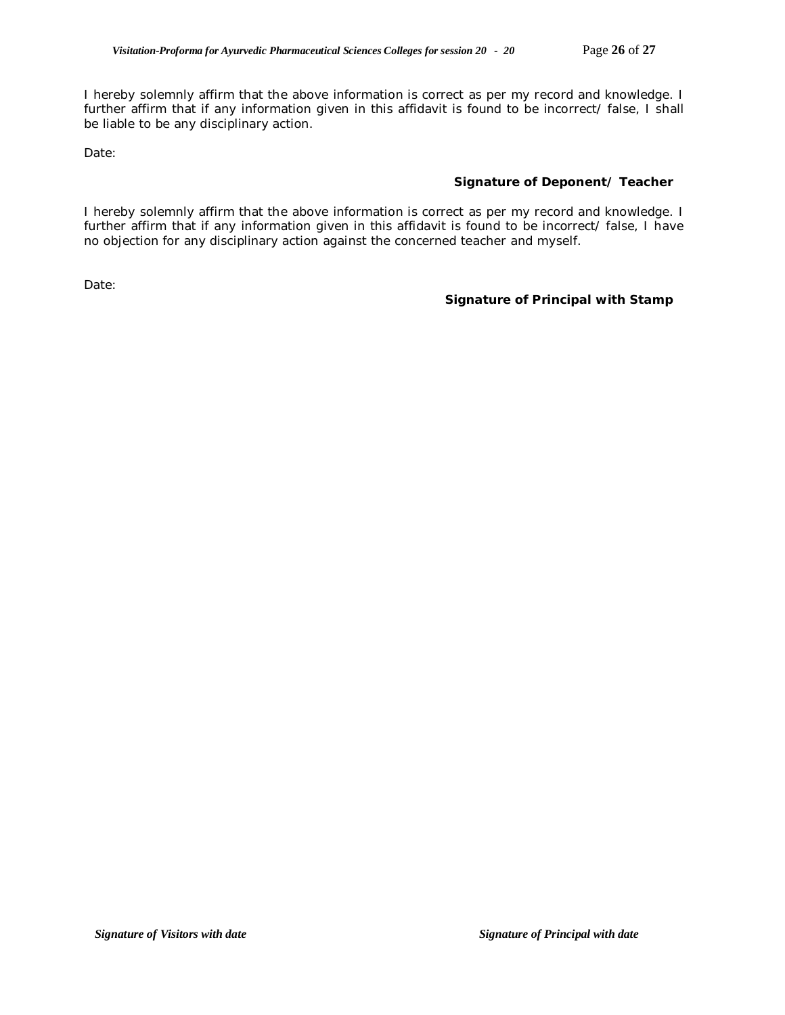I hereby solemnly affirm that the above information is correct as per my record and knowledge. I further affirm that if any information given in this affidavit is found to be incorrect/ false, I shall be liable to be any disciplinary action.

Date:

### **Signature of Deponent/ Teacher**

I hereby solemnly affirm that the above information is correct as per my record and knowledge. I further affirm that if any information given in this affidavit is found to be incorrect/ false, I have no objection for any disciplinary action against the concerned teacher and myself.

Date:

### **Signature of Principal with Stamp**